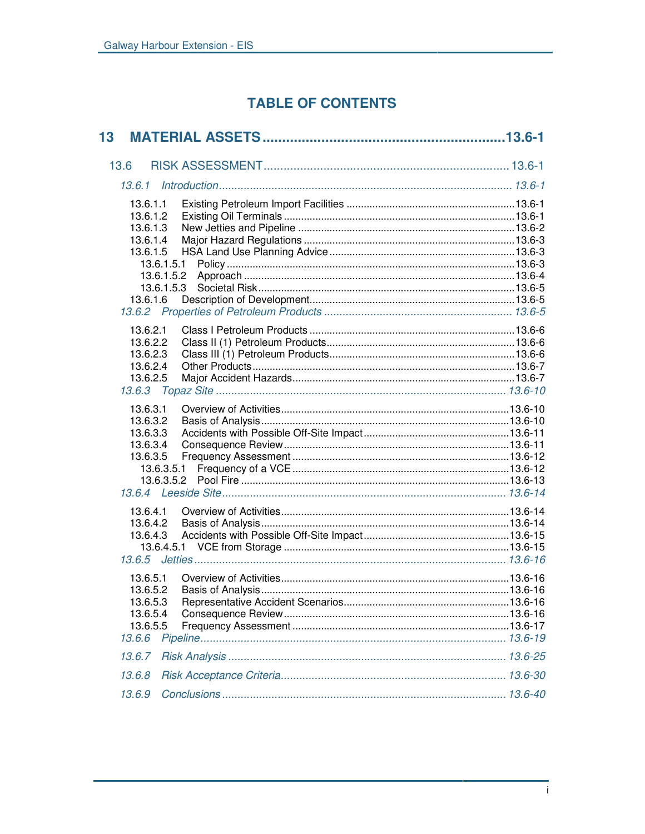# **TABLE OF CONTENTS**

| 13                                                                                                             |  |
|----------------------------------------------------------------------------------------------------------------|--|
| 13.6                                                                                                           |  |
|                                                                                                                |  |
| 13.6.1.1<br>13.6.1.2<br>13.6.1.3<br>13.6.1.4<br>13.6.1.5<br>13.6.1.5.1<br>13.6.1.5.2<br>13.6.1.5.3<br>13.6.1.6 |  |
| 13.6.2.1<br>13.6.2.2<br>13.6.2.3<br>13.6.2.4<br>13.6.2.5                                                       |  |
| 13.6.3.1<br>13.6.3.2<br>13.6.3.3<br>13.6.3.4<br>13.6.3.5<br>13.6.3.5.1                                         |  |
| 13.6.4.1<br>13.6.4.2<br>13.6.4.3                                                                               |  |
| 13.6.5.1<br>13.6.5.2<br>13.6.5.3<br>13.6.5.4<br>13.6.5.5<br>13.6.6                                             |  |
| 13.6.7                                                                                                         |  |
| 13.6.8                                                                                                         |  |
| 13.6.9                                                                                                         |  |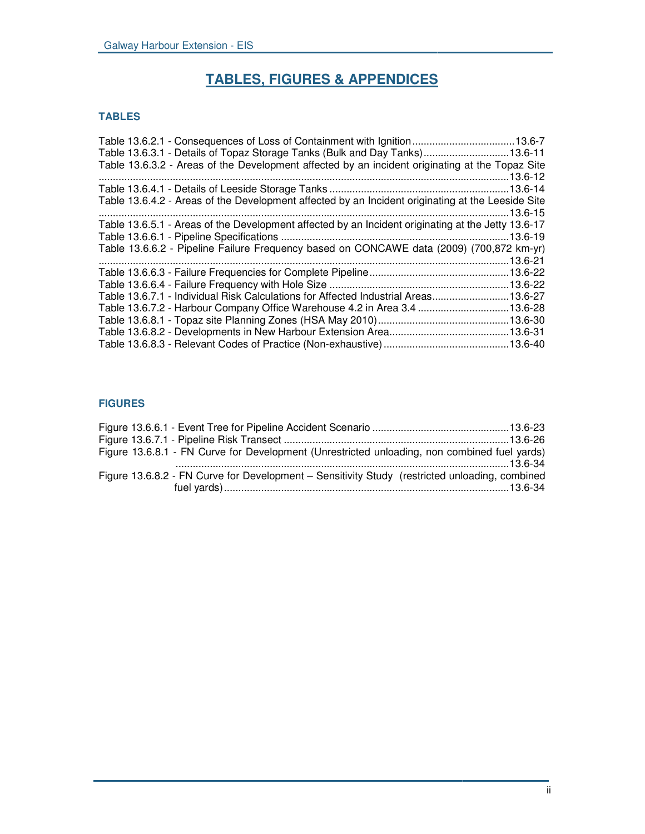# **TABLES, FIGURES & APPENDICES**

# **TABLES**

| Table 13.6.3.1 - Details of Topaz Storage Tanks (Bulk and Day Tanks)13.6-11                        |  |
|----------------------------------------------------------------------------------------------------|--|
| Table 13.6.3.2 - Areas of the Development affected by an incident originating at the Topaz Site    |  |
|                                                                                                    |  |
|                                                                                                    |  |
| Table 13.6.4.2 - Areas of the Development affected by an Incident originating at the Leeside Site  |  |
|                                                                                                    |  |
| Table 13.6.5.1 - Areas of the Development affected by an Incident originating at the Jetty 13.6-17 |  |
|                                                                                                    |  |
| Table 13.6.6.2 - Pipeline Failure Frequency based on CONCAWE data (2009) (700,872 km-yr)           |  |
|                                                                                                    |  |
|                                                                                                    |  |
|                                                                                                    |  |
| Table 13.6.7.1 - Individual Risk Calculations for Affected Industrial Areas13.6-27                 |  |
| Table 13.6.7.2 - Harbour Company Office Warehouse 4.2 in Area 3.4 13.6-28                          |  |
|                                                                                                    |  |
|                                                                                                    |  |
|                                                                                                    |  |
|                                                                                                    |  |

# **FIGURES**

| Figure 13.6.8.1 - FN Curve for Development (Unrestricted unloading, non combined fuel yards)   |  |
|------------------------------------------------------------------------------------------------|--|
| Figure 13.6.8.2 - FN Curve for Development - Sensitivity Study (restricted unloading, combined |  |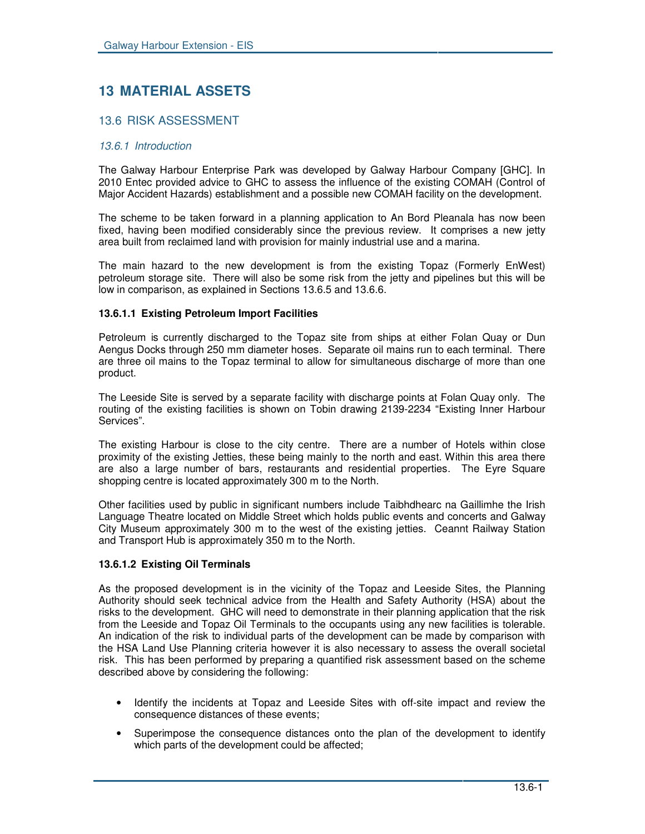# **13 MATERIAL ASSETS**

# 13.6 RISK ASSESSMENT

## *13.6.1 Introduction*

The Galway Harbour Enterprise Park was developed by Galway Harbour Company [GHC]. In 2010 Entec provided advice to GHC to assess the influence of the existing COMAH (Control of Major Accident Hazards) establishment and a possible new COMAH facility on the development.

The scheme to be taken forward in a planning application to An Bord Pleanala has now been fixed, having been modified considerably since the previous review. It comprises a new jetty area built from reclaimed land with provision for mainly industrial use and a marina.

The main hazard to the new development is from the existing Topaz (Formerly EnWest) petroleum storage site. There will also be some risk from the jetty and pipelines but this will be low in comparison, as explained in Sections 13.6.5 and 13.6.6.

# **13.6.1.1 Existing Petroleum Import Facilities**

Petroleum is currently discharged to the Topaz site from ships at either Folan Quay or Dun Aengus Docks through 250 mm diameter hoses. Separate oil mains run to each terminal. There are three oil mains to the Topaz terminal to allow for simultaneous discharge of more than one product.

The Leeside Site is served by a separate facility with discharge points at Folan Quay only. The routing of the existing facilities is shown on Tobin drawing 2139-2234 "Existing Inner Harbour Services".

The existing Harbour is close to the city centre. There are a number of Hotels within close proximity of the existing Jetties, these being mainly to the north and east. Within this area there are also a large number of bars, restaurants and residential properties. The Eyre Square shopping centre is located approximately 300 m to the North.

Other facilities used by public in significant numbers include Taibhdhearc na Gaillimhe the Irish Language Theatre located on Middle Street which holds public events and concerts and Galway City Museum approximately 300 m to the west of the existing jetties. Ceannt Railway Station and Transport Hub is approximately 350 m to the North.

# **13.6.1.2 Existing Oil Terminals**

As the proposed development is in the vicinity of the Topaz and Leeside Sites, the Planning Authority should seek technical advice from the Health and Safety Authority (HSA) about the risks to the development. GHC will need to demonstrate in their planning application that the risk from the Leeside and Topaz Oil Terminals to the occupants using any new facilities is tolerable. An indication of the risk to individual parts of the development can be made by comparison with the HSA Land Use Planning criteria however it is also necessary to assess the overall societal risk. This has been performed by preparing a quantified risk assessment based on the scheme described above by considering the following:

- Identify the incidents at Topaz and Leeside Sites with off-site impact and review the consequence distances of these events;
- Superimpose the consequence distances onto the plan of the development to identify which parts of the development could be affected;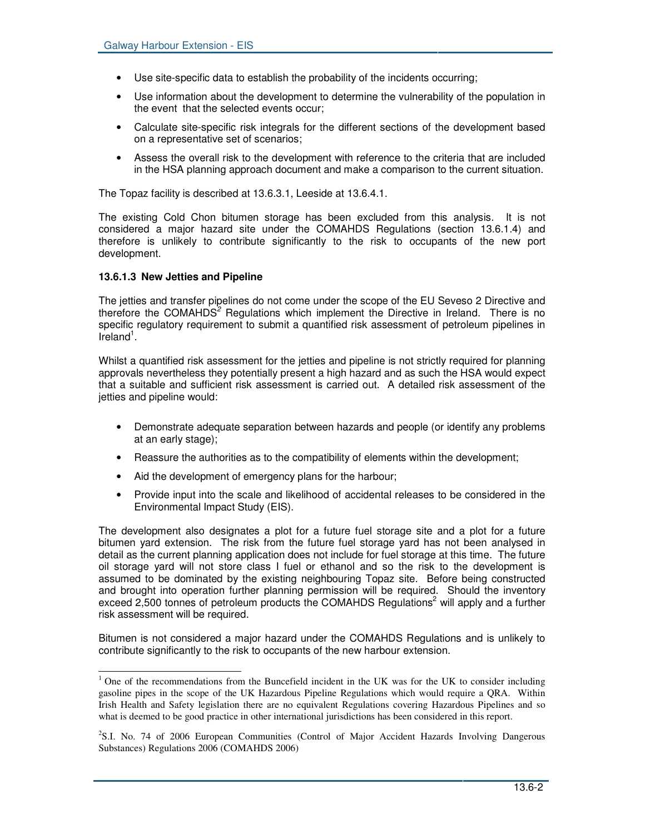- Use site-specific data to establish the probability of the incidents occurring;
- Use information about the development to determine the vulnerability of the population in the event that the selected events occur;
- Calculate site-specific risk integrals for the different sections of the development based on a representative set of scenarios;
- Assess the overall risk to the development with reference to the criteria that are included in the HSA planning approach document and make a comparison to the current situation.

The Topaz facility is described at 13.6.3.1, Leeside at 13.6.4.1.

The existing Cold Chon bitumen storage has been excluded from this analysis. It is not considered a major hazard site under the COMAHDS Regulations (section 13.6.1.4) and therefore is unlikely to contribute significantly to the risk to occupants of the new port development.

# **13.6.1.3 New Jetties and Pipeline**

The jetties and transfer pipelines do not come under the scope of the EU Seveso 2 Directive and therefore the COMAHDS *<sup>2</sup>* Regulations which implement the Directive in Ireland. There is no specific regulatory requirement to submit a quantified risk assessment of petroleum pipelines in lreland<sup>1</sup>.

Whilst a quantified risk assessment for the jetties and pipeline is not strictly required for planning approvals nevertheless they potentially present a high hazard and as such the HSA would expect that a suitable and sufficient risk assessment is carried out. A detailed risk assessment of the jetties and pipeline would:

- Demonstrate adequate separation between hazards and people (or identify any problems at an early stage);
- Reassure the authorities as to the compatibility of elements within the development;
- Aid the development of emergency plans for the harbour;
- Provide input into the scale and likelihood of accidental releases to be considered in the Environmental Impact Study (EIS).

The development also designates a plot for a future fuel storage site and a plot for a future bitumen yard extension. The risk from the future fuel storage yard has not been analysed in detail as the current planning application does not include for fuel storage at this time. The future oil storage yard will not store class I fuel or ethanol and so the risk to the development is assumed to be dominated by the existing neighbouring Topaz site. Before being constructed and brought into operation further planning permission will be required. Should the inventory exceed 2,500 tonnes of petroleum products the COMAHDS Regulations<sup>2</sup> will apply and a further risk assessment will be required.

Bitumen is not considered a major hazard under the COMAHDS Regulations and is unlikely to contribute significantly to the risk to occupants of the new harbour extension.

<sup>&</sup>lt;sup>1</sup> One of the recommendations from the Buncefield incident in the UK was for the UK to consider including gasoline pipes in the scope of the UK Hazardous Pipeline Regulations which would require a QRA. Within Irish Health and Safety legislation there are no equivalent Regulations covering Hazardous Pipelines and so what is deemed to be good practice in other international jurisdictions has been considered in this report.

<sup>&</sup>lt;sup>2</sup>S.I. No. 74 of 2006 European Communities (Control of Major Accident Hazards Involving Dangerous Substances) Regulations 2006 (COMAHDS 2006)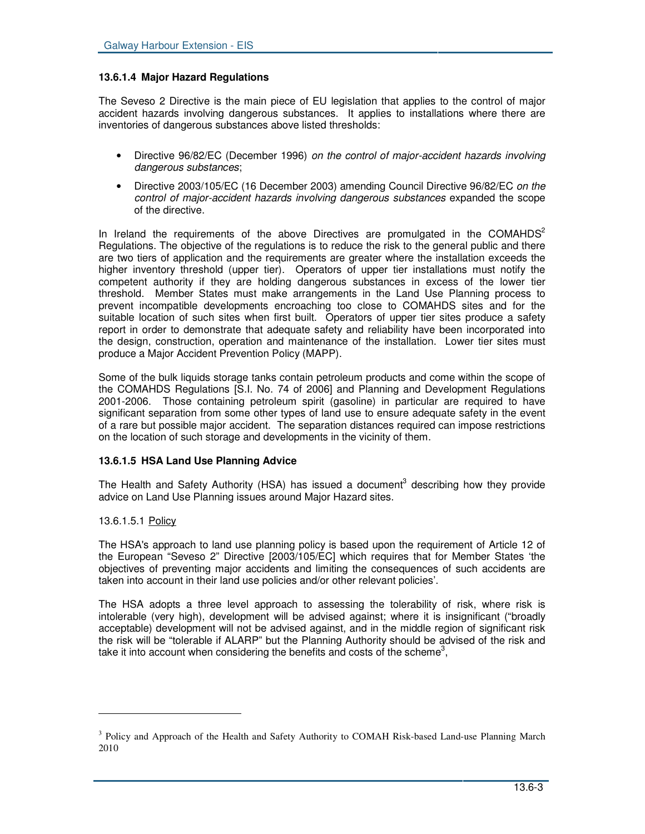## **13.6.1.4 Major Hazard Regulations**

The Seveso 2 Directive is the main piece of EU legislation that applies to the control of major accident hazards involving dangerous substances. It applies to installations where there are inventories of dangerous substances above listed thresholds:

- Directive 96/82/EC (December 1996) *on the control of major-accident hazards involving dangerous substances*;
- Directive 2003/105/EC (16 December 2003) amending Council Directive 96/82/EC *on the control of major-accident hazards involving dangerous substances* expanded the scope of the directive.

In Ireland the requirements of the above Directives are promulgated in the COMAHDS<sup>2</sup> Regulations. The objective of the regulations is to reduce the risk to the general public and there are two tiers of application and the requirements are greater where the installation exceeds the higher inventory threshold (upper tier). Operators of upper tier installations must notify the competent authority if they are holding dangerous substances in excess of the lower tier threshold. Member States must make arrangements in the Land Use Planning process to prevent incompatible developments encroaching too close to COMAHDS sites and for the suitable location of such sites when first built. Operators of upper tier sites produce a safety report in order to demonstrate that adequate safety and reliability have been incorporated into the design, construction, operation and maintenance of the installation. Lower tier sites must produce a Major Accident Prevention Policy (MAPP).

Some of the bulk liquids storage tanks contain petroleum products and come within the scope of the COMAHDS Regulations [S.I. No. 74 of 2006] and Planning and Development Regulations 2001-2006. Those containing petroleum spirit (gasoline) in particular are required to have significant separation from some other types of land use to ensure adequate safety in the event of a rare but possible major accident. The separation distances required can impose restrictions on the location of such storage and developments in the vicinity of them.

## **13.6.1.5 HSA Land Use Planning Advice**

The Health and Safety Authority (HSA) has issued a document<sup>3</sup> describing how they provide advice on Land Use Planning issues around Major Hazard sites.

## 13.6.1.5.1 Policy

The HSA's approach to land use planning policy is based upon the requirement of Article 12 of the European "Seveso 2" Directive [2003/105/EC] which requires that for Member States 'the objectives of preventing major accidents and limiting the consequences of such accidents are taken into account in their land use policies and/or other relevant policies'.

The HSA adopts a three level approach to assessing the tolerability of risk, where risk is intolerable (very high), development will be advised against; where it is insignificant ("broadly acceptable) development will not be advised against, and in the middle region of significant risk the risk will be "tolerable if ALARP" but the Planning Authority should be advised of the risk and take it into account when considering the benefits and costs of the scheme<sup>3</sup>,

<sup>&</sup>lt;sup>3</sup> Policy and Approach of the Health and Safety Authority to COMAH Risk-based Land-use Planning March 2010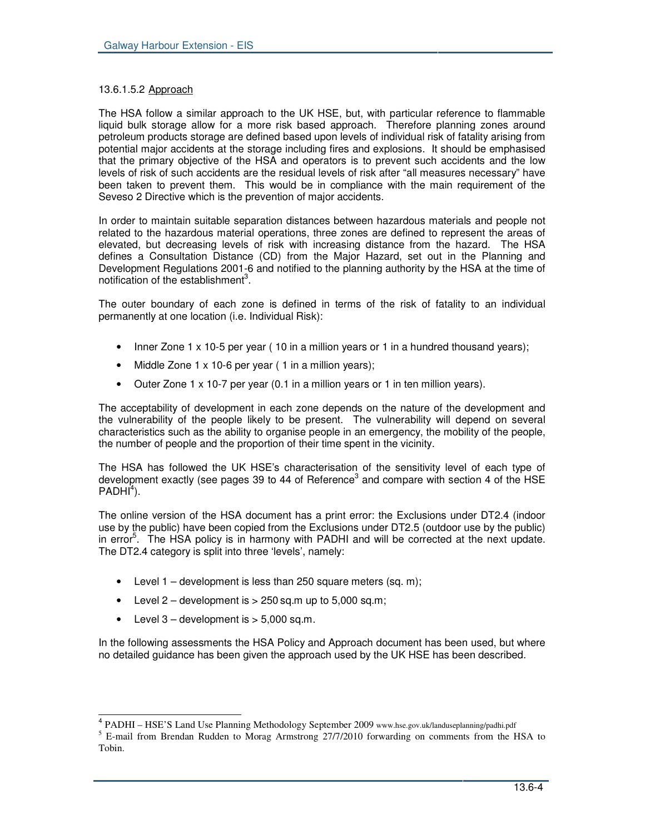# 13.6.1.5.2 Approach

The HSA follow a similar approach to the UK HSE, but, with particular reference to flammable liquid bulk storage allow for a more risk based approach. Therefore planning zones around petroleum products storage are defined based upon levels of individual risk of fatality arising from potential major accidents at the storage including fires and explosions. It should be emphasised that the primary objective of the HSA and operators is to prevent such accidents and the low levels of risk of such accidents are the residual levels of risk after "all measures necessary" have been taken to prevent them. This would be in compliance with the main requirement of the Seveso 2 Directive which is the prevention of major accidents.

In order to maintain suitable separation distances between hazardous materials and people not related to the hazardous material operations, three zones are defined to represent the areas of elevated, but decreasing levels of risk with increasing distance from the hazard. The HSA defines a Consultation Distance (CD) from the Major Hazard, set out in the Planning and Development Regulations 2001-6 and notified to the planning authority by the HSA at the time of notification of the establishment<sup>3</sup>.

The outer boundary of each zone is defined in terms of the risk of fatality to an individual permanently at one location (i.e. Individual Risk):

- Inner Zone 1 x 10-5 per year (10 in a million years or 1 in a hundred thousand years);
- Middle Zone 1 x 10-6 per year ( 1 in a million years);
- Outer Zone 1 x 10-7 per year (0.1 in a million years or 1 in ten million years).

The acceptability of development in each zone depends on the nature of the development and the vulnerability of the people likely to be present. The vulnerability will depend on several characteristics such as the ability to organise people in an emergency, the mobility of the people, the number of people and the proportion of their time spent in the vicinity.

The HSA has followed the UK HSE's characterisation of the sensitivity level of each type of development exactly (see pages 39 to 44 of Reference<sup>3</sup> and compare with section 4 of the HSE  $PADHI<sup>4</sup>$ ).

The online version of the HSA document has a print error: the Exclusions under DT2.4 (indoor use by the public) have been copied from the Exclusions under DT2.5 (outdoor use by the public) in error<sup>5</sup>. The HSA policy is in harmony with PADHI and will be corrected at the next update. The DT2.4 category is split into three 'levels', namely:

- Level  $1$  development is less than 250 square meters (sq. m);
- Level  $2$  development is  $> 250$  sq.m up to 5,000 sq.m;
- Level  $3$  development is  $> 5,000$  sq.m.

In the following assessments the HSA Policy and Approach document has been used, but where no detailed guidance has been given the approach used by the UK HSE has been described.

<sup>&</sup>lt;sup>4</sup> PADHI – HSE'S Land Use Planning Methodology September 2009 www.hse.gov.uk/landuseplanning/padhi.pdf

 $<sup>5</sup>$  E-mail from Brendan Rudden to Morag Armstrong  $27/7/2010$  forwarding on comments from the HSA to</sup> Tobin.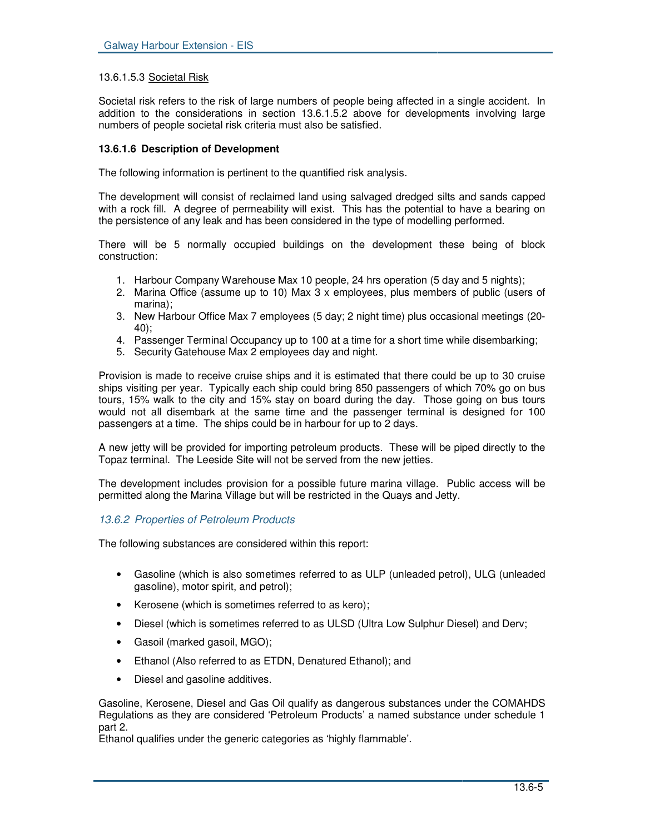## 13.6.1.5.3 Societal Risk

Societal risk refers to the risk of large numbers of people being affected in a single accident. In addition to the considerations in section 13.6.1.5.2 above for developments involving large numbers of people societal risk criteria must also be satisfied.

#### **13.6.1.6 Description of Development**

The following information is pertinent to the quantified risk analysis.

The development will consist of reclaimed land using salvaged dredged silts and sands capped with a rock fill. A degree of permeability will exist. This has the potential to have a bearing on the persistence of any leak and has been considered in the type of modelling performed.

There will be 5 normally occupied buildings on the development these being of block construction:

- 1. Harbour Company Warehouse Max 10 people, 24 hrs operation (5 day and 5 nights);
- 2. Marina Office (assume up to 10) Max 3 x employees, plus members of public (users of marina);
- 3. New Harbour Office Max 7 employees (5 day; 2 night time) plus occasional meetings (20- 40);
- 4. Passenger Terminal Occupancy up to 100 at a time for a short time while disembarking;
- 5. Security Gatehouse Max 2 employees day and night.

Provision is made to receive cruise ships and it is estimated that there could be up to 30 cruise ships visiting per year. Typically each ship could bring 850 passengers of which 70% go on bus tours, 15% walk to the city and 15% stay on board during the day. Those going on bus tours would not all disembark at the same time and the passenger terminal is designed for 100 passengers at a time. The ships could be in harbour for up to 2 days.

A new jetty will be provided for importing petroleum products. These will be piped directly to the Topaz terminal. The Leeside Site will not be served from the new jetties.

The development includes provision for a possible future marina village. Public access will be permitted along the Marina Village but will be restricted in the Quays and Jetty.

## *13.6.2 Properties of Petroleum Products*

The following substances are considered within this report:

- Gasoline (which is also sometimes referred to as ULP (unleaded petrol), ULG (unleaded gasoline), motor spirit, and petrol);
- Kerosene (which is sometimes referred to as kero);
- Diesel (which is sometimes referred to as ULSD (Ultra Low Sulphur Diesel) and Derv;
- Gasoil (marked gasoil, MGO);
- Ethanol (Also referred to as ETDN, Denatured Ethanol); and
- Diesel and gasoline additives.

Gasoline, Kerosene, Diesel and Gas Oil qualify as dangerous substances under the COMAHDS Regulations as they are considered 'Petroleum Products' a named substance under schedule 1 part 2.

Ethanol qualifies under the generic categories as 'highly flammable'.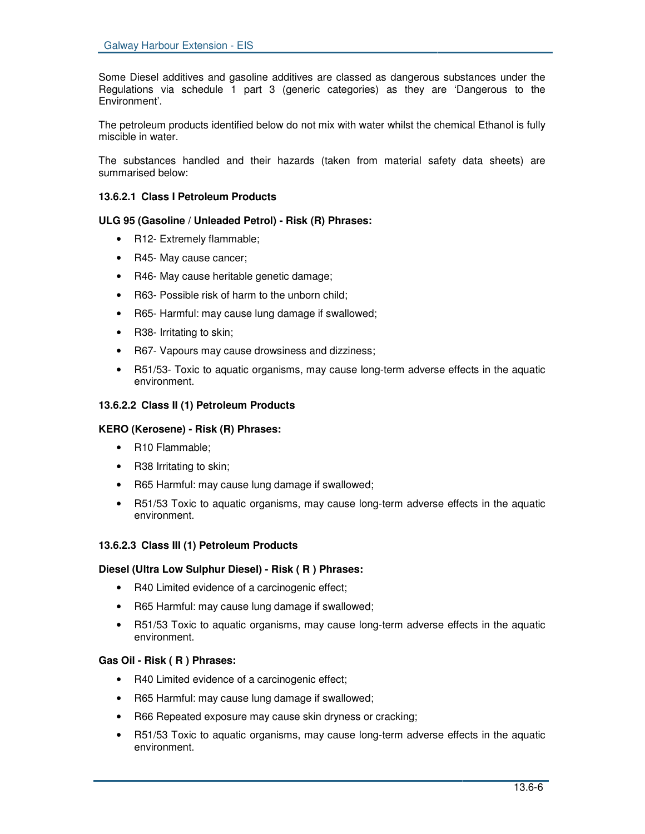Some Diesel additives and gasoline additives are classed as dangerous substances under the Regulations via schedule 1 part 3 (generic categories) as they are 'Dangerous to the Environment'.

The petroleum products identified below do not mix with water whilst the chemical Ethanol is fully miscible in water.

The substances handled and their hazards (taken from material safety data sheets) are summarised below:

# **13.6.2.1 Class I Petroleum Products**

# **ULG 95 (Gasoline / Unleaded Petrol) - Risk (R) Phrases:**

- R12- Extremely flammable;
- R45- May cause cancer;
- R46- May cause heritable genetic damage;
- R63- Possible risk of harm to the unborn child;
- R65- Harmful: may cause lung damage if swallowed;
- R38- Irritating to skin;
- R67- Vapours may cause drowsiness and dizziness;
- R51/53- Toxic to aquatic organisms, may cause long-term adverse effects in the aquatic environment.

# **13.6.2.2 Class II (1) Petroleum Products**

## **KERO (Kerosene) - Risk (R) Phrases:**

- R10 Flammable;
- R38 Irritating to skin;
- R65 Harmful: may cause lung damage if swallowed;
- R51/53 Toxic to aquatic organisms, may cause long-term adverse effects in the aquatic environment.

## **13.6.2.3 Class III (1) Petroleum Products**

## **Diesel (Ultra Low Sulphur Diesel) - Risk ( R ) Phrases:**

- R40 Limited evidence of a carcinogenic effect;
- R65 Harmful: may cause lung damage if swallowed;
- R51/53 Toxic to aquatic organisms, may cause long-term adverse effects in the aquatic environment.

## **Gas Oil - Risk ( R ) Phrases:**

- R40 Limited evidence of a carcinogenic effect;
- R65 Harmful: may cause lung damage if swallowed;
- R66 Repeated exposure may cause skin dryness or cracking;
- R51/53 Toxic to aquatic organisms, may cause long-term adverse effects in the aquatic environment.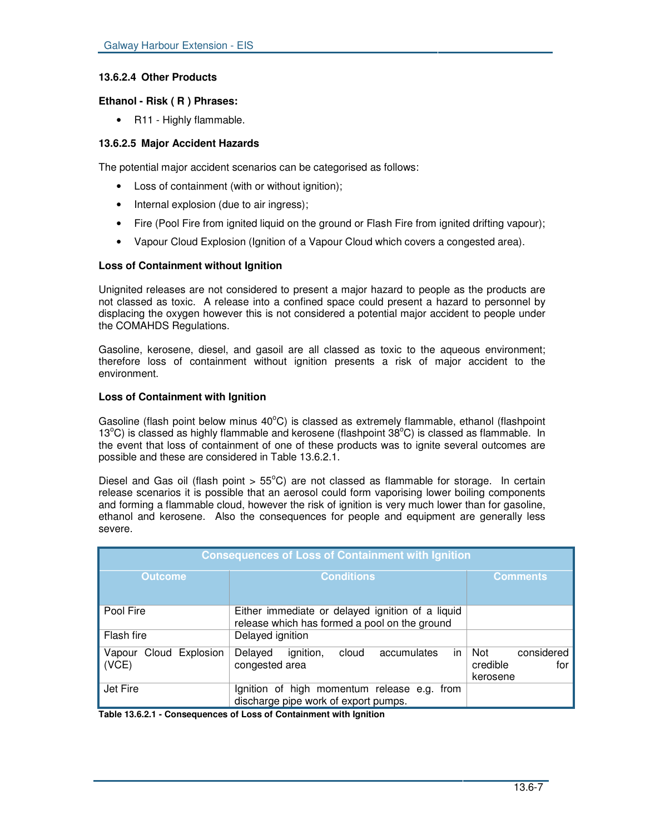# **13.6.2.4 Other Products**

# **Ethanol - Risk ( R ) Phrases:**

• R11 - Highly flammable.

# **13.6.2.5 Major Accident Hazards**

The potential major accident scenarios can be categorised as follows:

- Loss of containment (with or without ignition);
- Internal explosion (due to air ingress);
- Fire (Pool Fire from ignited liquid on the ground or Flash Fire from ignited drifting vapour);
- Vapour Cloud Explosion (Ignition of a Vapour Cloud which covers a congested area).

# **Loss of Containment without Ignition**

Unignited releases are not considered to present a major hazard to people as the products are not classed as toxic. A release into a confined space could present a hazard to personnel by displacing the oxygen however this is not considered a potential major accident to people under the COMAHDS Regulations.

Gasoline, kerosene, diesel, and gasoil are all classed as toxic to the aqueous environment; therefore loss of containment without ignition presents a risk of major accident to the environment.

# **Loss of Containment with Ignition**

Gasoline (flash point below minus 40°C) is classed as extremely flammable, ethanol (flashpoint 13°C) is classed as highly flammable and kerosene (flashpoint 38°C) is classed as flammable. In the event that loss of containment of one of these products was to ignite several outcomes are possible and these are considered in Table 13.6.2.1.

Diesel and Gas oil (flash point  $> 55^{\circ}$ C) are not classed as flammable for storage. In certain release scenarios it is possible that an aerosol could form vaporising lower boiling components and forming a flammable cloud, however the risk of ignition is very much lower than for gasoline, ethanol and kerosene. Also the consequences for people and equipment are generally less severe.

| <b>Consequences of Loss of Containment with Ignition</b> |                                                                                                   |                                                  |  |  |
|----------------------------------------------------------|---------------------------------------------------------------------------------------------------|--------------------------------------------------|--|--|
| <b>Outcome</b>                                           | <b>Conditions</b>                                                                                 | <b>Comments</b>                                  |  |  |
| Pool Fire                                                | Either immediate or delayed ignition of a liquid<br>release which has formed a pool on the ground |                                                  |  |  |
| Flash fire                                               | Delayed ignition                                                                                  |                                                  |  |  |
| Cloud Explosion<br>Vapour<br>(VCE)                       | in<br>ignition,<br>Delayed<br>accumulates<br>cloud<br>congested area                              | considered<br>Not<br>credible<br>for<br>kerosene |  |  |
| Jet Fire                                                 | Ignition of high momentum release e.g. from<br>discharge pipe work of export pumps.               |                                                  |  |  |

**Table 13.6.2.1 - Consequences of Loss of Containment with Ignition**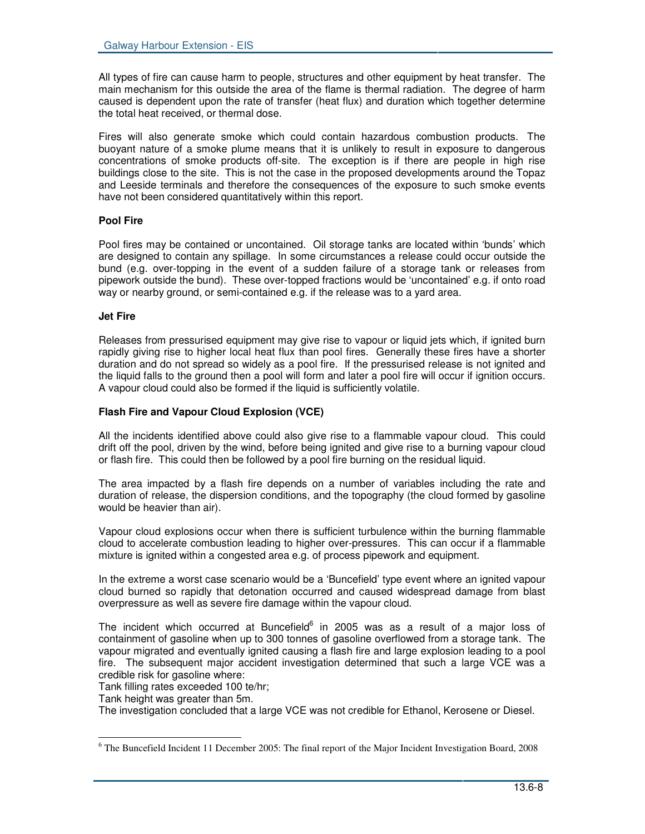All types of fire can cause harm to people, structures and other equipment by heat transfer. The main mechanism for this outside the area of the flame is thermal radiation. The degree of harm caused is dependent upon the rate of transfer (heat flux) and duration which together determine the total heat received, or thermal dose.

Fires will also generate smoke which could contain hazardous combustion products. The buoyant nature of a smoke plume means that it is unlikely to result in exposure to dangerous concentrations of smoke products off-site. The exception is if there are people in high rise buildings close to the site. This is not the case in the proposed developments around the Topaz and Leeside terminals and therefore the consequences of the exposure to such smoke events have not been considered quantitatively within this report.

# **Pool Fire**

Pool fires may be contained or uncontained. Oil storage tanks are located within 'bunds' which are designed to contain any spillage. In some circumstances a release could occur outside the bund (e.g. over-topping in the event of a sudden failure of a storage tank or releases from pipework outside the bund). These over-topped fractions would be 'uncontained' e.g. if onto road way or nearby ground, or semi-contained e.g. if the release was to a yard area.

## **Jet Fire**

Releases from pressurised equipment may give rise to vapour or liquid jets which, if ignited burn rapidly giving rise to higher local heat flux than pool fires. Generally these fires have a shorter duration and do not spread so widely as a pool fire. If the pressurised release is not ignited and the liquid falls to the ground then a pool will form and later a pool fire will occur if ignition occurs. A vapour cloud could also be formed if the liquid is sufficiently volatile.

# **Flash Fire and Vapour Cloud Explosion (VCE)**

All the incidents identified above could also give rise to a flammable vapour cloud. This could drift off the pool, driven by the wind, before being ignited and give rise to a burning vapour cloud or flash fire. This could then be followed by a pool fire burning on the residual liquid.

The area impacted by a flash fire depends on a number of variables including the rate and duration of release, the dispersion conditions, and the topography (the cloud formed by gasoline would be heavier than air).

Vapour cloud explosions occur when there is sufficient turbulence within the burning flammable cloud to accelerate combustion leading to higher over-pressures. This can occur if a flammable mixture is ignited within a congested area e.g. of process pipework and equipment.

In the extreme a worst case scenario would be a 'Buncefield' type event where an ignited vapour cloud burned so rapidly that detonation occurred and caused widespread damage from blast overpressure as well as severe fire damage within the vapour cloud.

The incident which occurred at Buncefield $^6$  in 2005 was as a result of a major loss of containment of gasoline when up to 300 tonnes of gasoline overflowed from a storage tank. The vapour migrated and eventually ignited causing a flash fire and large explosion leading to a pool fire. The subsequent major accident investigation determined that such a large VCE was a credible risk for gasoline where:

Tank filling rates exceeded 100 te/hr;

Tank height was greater than 5m.

The investigation concluded that a large VCE was not credible for Ethanol, Kerosene or Diesel.

<sup>&</sup>lt;sup>6</sup> The Buncefield Incident 11 December 2005: The final report of the Major Incident Investigation Board, 2008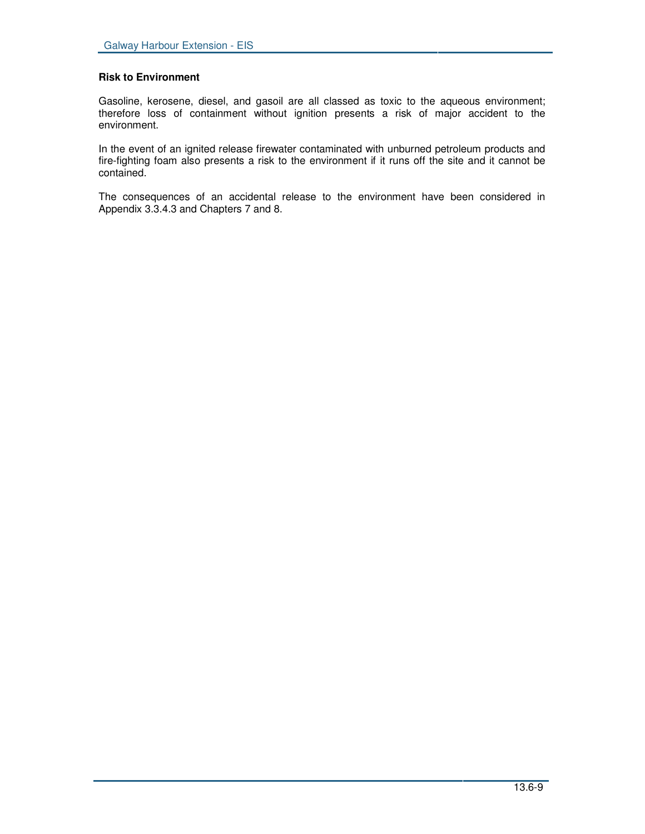## **Risk to Environment**

Gasoline, kerosene, diesel, and gasoil are all classed as toxic to the aqueous environment; therefore loss of containment without ignition presents a risk of major accident to the environment.

In the event of an ignited release firewater contaminated with unburned petroleum products and fire-fighting foam also presents a risk to the environment if it runs off the site and it cannot be contained.

The consequences of an accidental release to the environment have been considered in Appendix 3.3.4.3 and Chapters 7 and 8.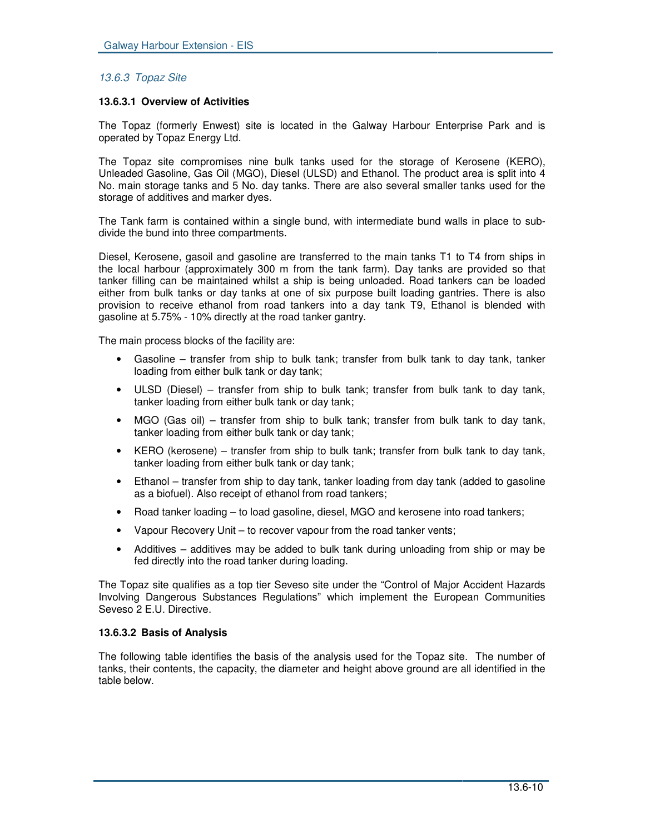# *13.6.3 Topaz Site*

## **13.6.3.1 Overview of Activities**

The Topaz (formerly Enwest) site is located in the Galway Harbour Enterprise Park and is operated by Topaz Energy Ltd.

The Topaz site compromises nine bulk tanks used for the storage of Kerosene (KERO), Unleaded Gasoline, Gas Oil (MGO), Diesel (ULSD) and Ethanol. The product area is split into 4 No. main storage tanks and 5 No. day tanks. There are also several smaller tanks used for the storage of additives and marker dyes.

The Tank farm is contained within a single bund, with intermediate bund walls in place to subdivide the bund into three compartments.

Diesel, Kerosene, gasoil and gasoline are transferred to the main tanks T1 to T4 from ships in the local harbour (approximately 300 m from the tank farm). Day tanks are provided so that tanker filling can be maintained whilst a ship is being unloaded. Road tankers can be loaded either from bulk tanks or day tanks at one of six purpose built loading gantries. There is also provision to receive ethanol from road tankers into a day tank T9, Ethanol is blended with gasoline at 5.75% - 10% directly at the road tanker gantry.

The main process blocks of the facility are:

- Gasoline transfer from ship to bulk tank; transfer from bulk tank to day tank, tanker loading from either bulk tank or day tank;
- ULSD (Diesel) transfer from ship to bulk tank; transfer from bulk tank to day tank, tanker loading from either bulk tank or day tank;
- MGO (Gas oil) transfer from ship to bulk tank; transfer from bulk tank to day tank, tanker loading from either bulk tank or day tank;
- KERO (kerosene) transfer from ship to bulk tank; transfer from bulk tank to day tank, tanker loading from either bulk tank or day tank;
- Ethanol transfer from ship to day tank, tanker loading from day tank (added to gasoline as a biofuel). Also receipt of ethanol from road tankers;
- Road tanker loading to load gasoline, diesel, MGO and kerosene into road tankers;
- Vapour Recovery Unit to recover vapour from the road tanker vents;
- Additives additives may be added to bulk tank during unloading from ship or may be fed directly into the road tanker during loading.

The Topaz site qualifies as a top tier Seveso site under the "Control of Major Accident Hazards Involving Dangerous Substances Regulations" which implement the European Communities Seveso 2 E.U. Directive.

## **13.6.3.2 Basis of Analysis**

The following table identifies the basis of the analysis used for the Topaz site. The number of tanks, their contents, the capacity, the diameter and height above ground are all identified in the table below.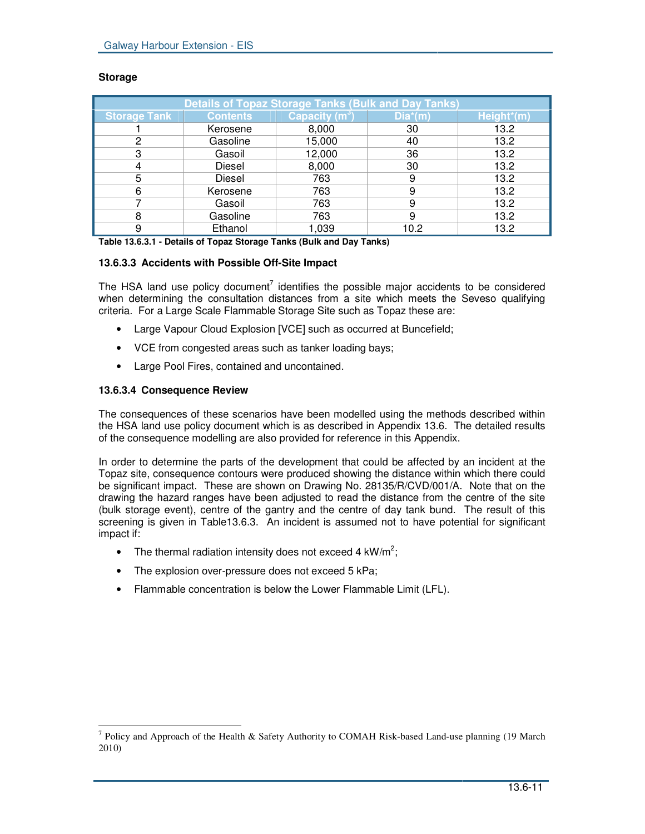| <b>Details of Topaz Storage Tanks (Bulk and Day Tanks)</b> |                 |                  |            |            |
|------------------------------------------------------------|-----------------|------------------|------------|------------|
| <b>Storage Tank</b>                                        | <b>Contents</b> | Capacity $(m^3)$ | $Dia^*(m)$ | Height*(m) |
|                                                            | Kerosene        | 8,000            | 30         | 13.2       |
| 2                                                          | Gasoline        | 15,000           | 40         | 13.2       |
| 3                                                          | Gasoil          | 12,000           | 36         | 13.2       |
|                                                            | Diesel          | 8,000            | 30         | 13.2       |
| 5                                                          | Diesel          | 763              | 9          | 13.2       |
| 6                                                          | Kerosene        | 763              | 9          | 13.2       |
|                                                            | Gasoil          | 763              | 9          | 13.2       |
| 8                                                          | Gasoline        | 763              | 9          | 13.2       |
| 9                                                          | Ethanol         | 1,039            | 10.2       | 13.2       |

## **Storage**

**Table 13.6.3.1 - Details of Topaz Storage Tanks (Bulk and Day Tanks)**

# **13.6.3.3 Accidents with Possible Off-Site Impact**

The HSA land use policy document<sup>7</sup> identifies the possible major accidents to be considered when determining the consultation distances from a site which meets the Seveso qualifying criteria. For a Large Scale Flammable Storage Site such as Topaz these are:

- Large Vapour Cloud Explosion [VCE] such as occurred at Buncefield;
- VCE from congested areas such as tanker loading bays;
- Large Pool Fires, contained and uncontained.

# **13.6.3.4 Consequence Review**

The consequences of these scenarios have been modelled using the methods described within the HSA land use policy document which is as described in Appendix 13.6. The detailed results of the consequence modelling are also provided for reference in this Appendix.

In order to determine the parts of the development that could be affected by an incident at the Topaz site, consequence contours were produced showing the distance within which there could be significant impact. These are shown on Drawing No. 28135/R/CVD/001/A. Note that on the drawing the hazard ranges have been adjusted to read the distance from the centre of the site (bulk storage event), centre of the gantry and the centre of day tank bund. The result of this screening is given in Table13.6.3. An incident is assumed not to have potential for significant impact if:

- The thermal radiation intensity does not exceed 4 kW/m<sup>2</sup>;
- The explosion over-pressure does not exceed 5 kPa;
- Flammable concentration is below the Lower Flammable Limit (LFL).

<sup>&</sup>lt;sup>7</sup> Policy and Approach of the Health & Safety Authority to COMAH Risk-based Land-use planning (19 March 2010)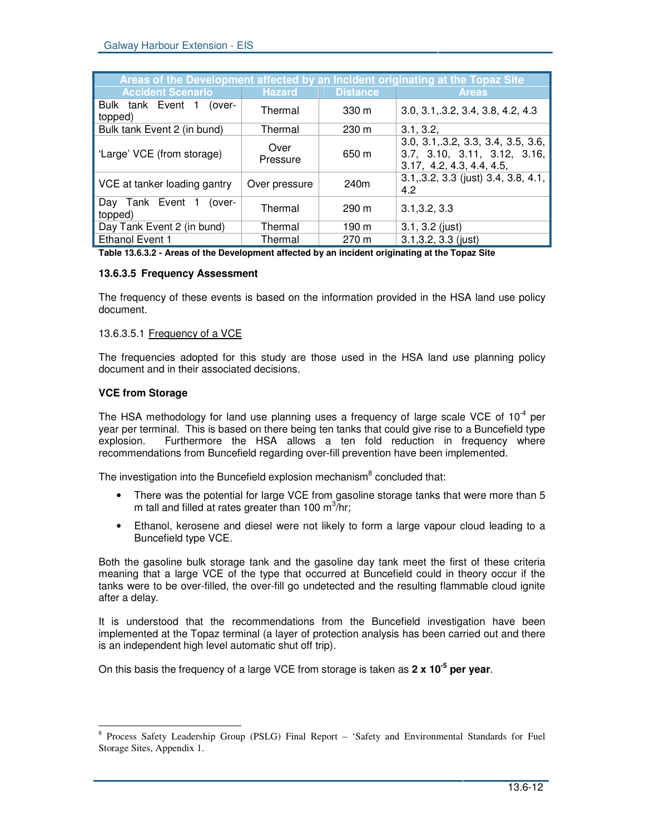| Areas of the Development affected by an Incident originating at the Topaz Site |                  |                  |                                                                                                 |  |  |
|--------------------------------------------------------------------------------|------------------|------------------|-------------------------------------------------------------------------------------------------|--|--|
| <b>Accident Scenario</b>                                                       | <b>Hazard</b>    | <b>Distance</b>  | <b>Areas</b>                                                                                    |  |  |
| Bulk tank Event 1<br>(over-<br>topped)                                         | Thermal          | 330 <sub>m</sub> | 3.0, 3.1, 3.2, 3.4, 3.8, 4.2, 4.3                                                               |  |  |
| Bulk tank Event 2 (in bund)                                                    | Thermal          | $230 \text{ m}$  | 3.1, 3.2,                                                                                       |  |  |
| 'Large' VCE (from storage)                                                     | Over<br>Pressure | 650 m            | 3.0, 3.1, 3.2, 3.3, 3.4, 3.5, 3.6,<br>3.7, 3.10, 3.11, 3.12, 3.16,<br>3.17, 4.2, 4.3, 4.4, 4.5, |  |  |
| VCE at tanker loading gantry                                                   | Over pressure    | 240m             | 3.1, 3.2, 3.3 (just) 3.4, 3.8, 4.1,<br>4.2                                                      |  |  |
| Day Tank Event 1<br>(over-<br>topped)                                          | Thermal          | $290 \text{ m}$  | 3.1, 3.2, 3.3                                                                                   |  |  |
| Day Tank Event 2 (in bund)                                                     | Thermal          | 190 m            | $3.1, 3.2$ (just)                                                                               |  |  |
| Ethanol Event 1                                                                | Thermal          | $270 \text{ m}$  | $3.1, 3.2, 3.3$ (just)                                                                          |  |  |

**Table 13.6.3.2 - Areas of the Development affected by an incident originating at the Topaz Site**

## **13.6.3.5 Frequency Assessment**

The frequency of these events is based on the information provided in the HSA land use policy document.

# 13.6.3.5.1 Frequency of a VCE

The frequencies adopted for this study are those used in the HSA land use planning policy document and in their associated decisions.

## **VCE from Storage**

The HSA methodology for land use planning uses a frequency of large scale VCE of 10 $4$  per year per terminal. This is based on there being ten tanks that could give rise to a Buncefield type explosion. Furthermore the HSA allows a ten fold reduction in frequency where recommendations from Buncefield regarding over-fill prevention have been implemented.

The investigation into the Buncefield explosion mechanism<sup>8</sup> concluded that:

- There was the potential for large VCE from gasoline storage tanks that were more than 5 m tall and filled at rates greater than 100 m<sup>3</sup>/hr;
- Ethanol, kerosene and diesel were not likely to form a large vapour cloud leading to a Buncefield type VCE.

Both the gasoline bulk storage tank and the gasoline day tank meet the first of these criteria meaning that a large VCE of the type that occurred at Buncefield could in theory occur if the tanks were to be over-filled, the over-fill go undetected and the resulting flammable cloud ignite after a delay.

It is understood that the recommendations from the Buncefield investigation have been implemented at the Topaz terminal (a layer of protection analysis has been carried out and there is an independent high level automatic shut off trip).

On this basis the frequency of a large VCE from storage is taken as **2 x 10 -5 per year**.

<sup>&</sup>lt;sup>8</sup> Process Safety Leadership Group (PSLG) Final Report - 'Safety and Environmental Standards for Fuel Storage Sites, Appendix 1.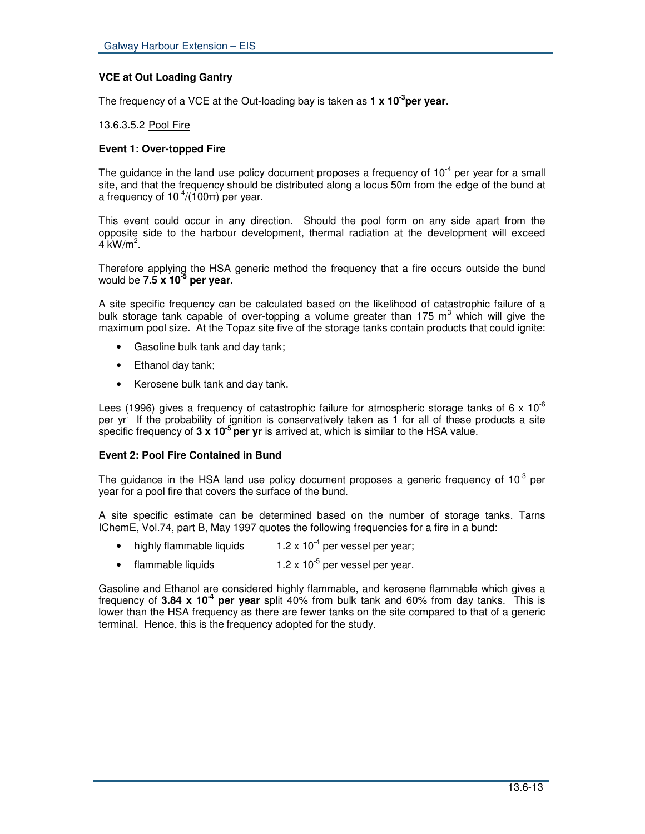# **VCE at Out Loading Gantry**

The frequency of a VCE at the Out-loading bay is taken as **1 x 10 -3 per year**.

13.6.3.5.2 Pool Fire

# **Event 1: Over-topped Fire**

The guidance in the land use policy document proposes a frequency of 10<sup>-4</sup> per year for a small site, and that the frequency should be distributed along a locus 50m from the edge of the bund at a frequency of  $10^{-4}$ /(100 $\pi$ ) per year.

This event could occur in any direction. Should the pool form on any side apart from the opposite side to the harbour development, thermal radiation at the development will exceed  $4 \text{ kW/m}^2$ .

Therefore applying the HSA generic method the frequency that a fire occurs outside the bund would be **7.5 x 10 -5 per year**.

A site specific frequency can be calculated based on the likelihood of catastrophic failure of a bulk storage tank capable of over-topping a volume greater than 175 m<sup>3</sup> which will give the maximum pool size. At the Topaz site five of the storage tanks contain products that could ignite:

- Gasoline bulk tank and day tank;
- Ethanol day tank;
- Kerosene bulk tank and day tank.

Lees (1996) gives a frequency of catastrophic failure for atmospheric storage tanks of 6 x 10<sup>-6</sup> per yr . If the probability of ignition is conservatively taken as 1 for all of these products a site specific frequency of **3 x 10 -5 per yr** is arrived at, which is similar to the HSA value.

## **Event 2: Pool Fire Contained in Bund**

The guidance in the HSA land use policy document proposes a generic frequency of 10 $3$  per year for a pool fire that covers the surface of the bund.

A site specific estimate can be determined based on the number of storage tanks. Tarns IChemE, Vol.74, part B, May 1997 quotes the following frequencies for a fire in a bund:

- highly flammable liquids <sup>-4</sup> per vessel per year;
- flammable liquids  $\cdot^5$  per vessel per year.

Gasoline and Ethanol are considered highly flammable, and kerosene flammable which gives a frequency of 3.84 x 10<sup>-4</sup> per year split 40% from bulk tank and 60% from day tanks. This is lower than the HSA frequency as there are fewer tanks on the site compared to that of a generic terminal. Hence, this is the frequency adopted for the study.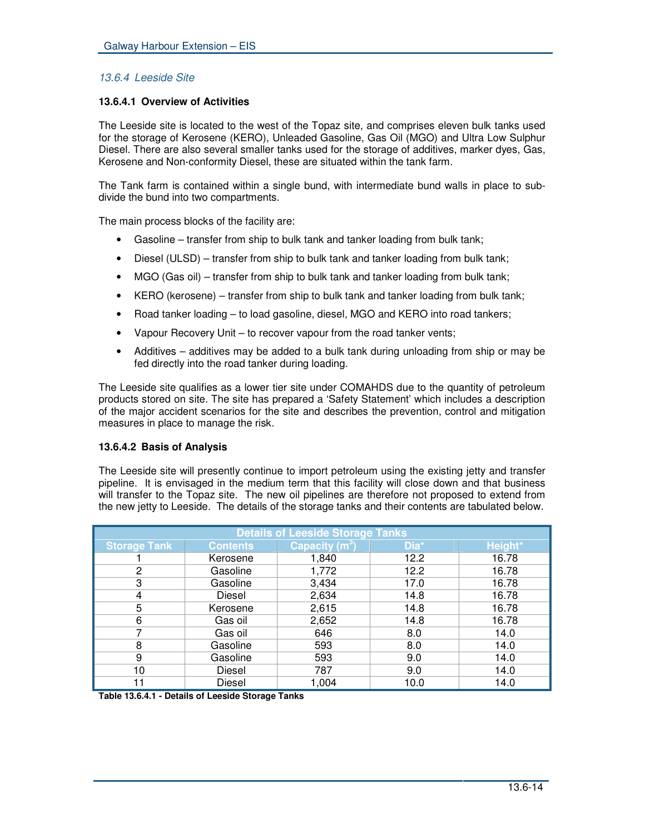# *13.6.4 Leeside Site*

# **13.6.4.1 Overview of Activities**

The Leeside site is located to the west of the Topaz site, and comprises eleven bulk tanks used for the storage of Kerosene (KERO), Unleaded Gasoline, Gas Oil (MGO) and Ultra Low Sulphur Diesel. There are also several smaller tanks used for the storage of additives, marker dyes, Gas, Kerosene and Non-conformity Diesel, these are situated within the tank farm.

The Tank farm is contained within a single bund, with intermediate bund walls in place to subdivide the bund into two compartments.

The main process blocks of the facility are:

- Gasoline transfer from ship to bulk tank and tanker loading from bulk tank;
- Diesel (ULSD) transfer from ship to bulk tank and tanker loading from bulk tank;
- MGO (Gas oil) transfer from ship to bulk tank and tanker loading from bulk tank;
- KERO (kerosene) transfer from ship to bulk tank and tanker loading from bulk tank;
- Road tanker loading to load gasoline, diesel, MGO and KERO into road tankers;
- Vapour Recovery Unit to recover vapour from the road tanker vents;
- Additives additives may be added to a bulk tank during unloading from ship or may be fed directly into the road tanker during loading.

The Leeside site qualifies as a lower tier site under COMAHDS due to the quantity of petroleum products stored on site. The site has prepared a 'Safety Statement' which includes a description of the major accident scenarios for the site and describes the prevention, control and mitigation measures in place to manage the risk.

## **13.6.4.2 Basis of Analysis**

The Leeside site will presently continue to import petroleum using the existing jetty and transfer pipeline. It is envisaged in the medium term that this facility will close down and that business will transfer to the Topaz site. The new oil pipelines are therefore not proposed to extend from the new jetty to Leeside. The details of the storage tanks and their contents are tabulated below.

| <b>Details of Leeside Storage Tanks</b> |                 |                  |      |         |
|-----------------------------------------|-----------------|------------------|------|---------|
| <b>Storage Tank</b>                     | <b>Contents</b> | Capacity $(m^3)$ | Dia* | Height* |
|                                         | Kerosene        | 1,840            | 12.2 | 16.78   |
| 2                                       | Gasoline        | 1,772            | 12.2 | 16.78   |
| 3                                       | Gasoline        | 3,434            | 17.0 | 16.78   |
| 4                                       | Diesel          | 2,634            | 14.8 | 16.78   |
| 5                                       | Kerosene        | 2,615            | 14.8 | 16.78   |
| 6                                       | Gas oil         | 2,652            | 14.8 | 16.78   |
|                                         | Gas oil         | 646              | 8.0  | 14.0    |
| 8                                       | Gasoline        | 593              | 8.0  | 14.0    |
| 9                                       | Gasoline        | 593              | 9.0  | 14.0    |
| 10                                      | Diesel          | 787              | 9.0  | 14.0    |
| 11                                      | Diesel          | 1,004            | 10.0 | 14.0    |

**Table 13.6.4.1 - Details of Leeside Storage Tanks**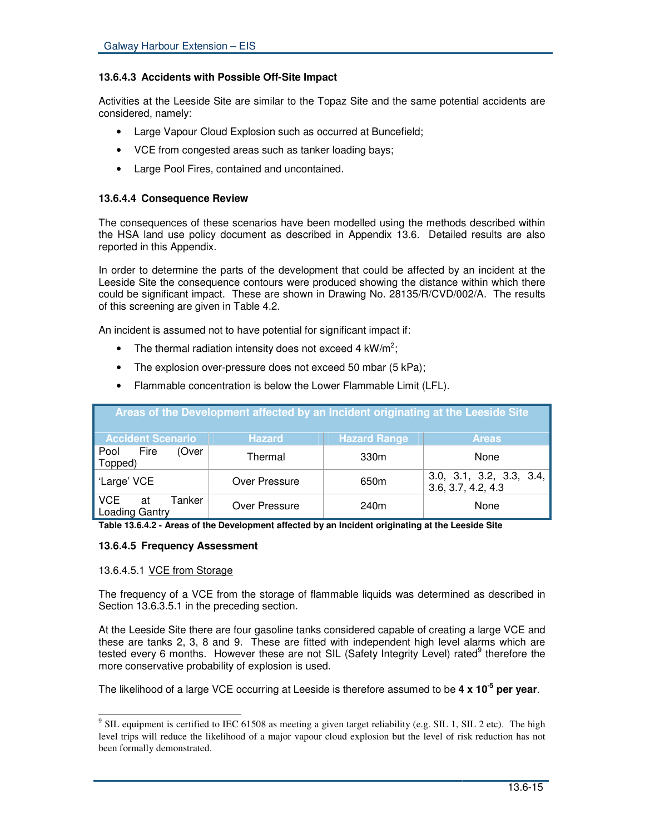# **13.6.4.3 Accidents with Possible Off-Site Impact**

Activities at the Leeside Site are similar to the Topaz Site and the same potential accidents are considered, namely:

- Large Vapour Cloud Explosion such as occurred at Buncefield;
- VCE from congested areas such as tanker loading bays;
- Large Pool Fires, contained and uncontained.

## **13.6.4.4 Consequence Review**

The consequences of these scenarios have been modelled using the methods described within the HSA land use policy document as described in Appendix 13.6. Detailed results are also reported in this Appendix.

In order to determine the parts of the development that could be affected by an incident at the Leeside Site the consequence contours were produced showing the distance within which there could be significant impact. These are shown in Drawing No. 28135/R/CVD/002/A. The results of this screening are given in Table 4.2.

An incident is assumed not to have potential for significant impact if:

- The thermal radiation intensity does not exceed 4 kW/m<sup>2</sup>;
- The explosion over-pressure does not exceed 50 mbar (5 kPa);

| Areas of the Development affected by an Incident originating at the Leeside Site |               |                     |                                                |  |
|----------------------------------------------------------------------------------|---------------|---------------------|------------------------------------------------|--|
| <b>Accident Scenario</b>                                                         | <b>Hazard</b> | <b>Hazard Range</b> | <b>Areas</b>                                   |  |
| Pool Fire<br>(Over<br>Topped)                                                    | Thermal       | 330m                | None                                           |  |
| 'Large' VCE                                                                      | Over Pressure | 650 <sub>m</sub>    | 3.0, 3.1, 3.2, 3.3, 3.4,<br>3.6, 3.7, 4.2, 4.3 |  |
| I VCE<br>Tanker<br>at<br>Loading Gantry                                          | Over Pressure | 240m                | None                                           |  |

• Flammable concentration is below the Lower Flammable Limit (LFL).

**Table 13.6.4.2 - Areas of the Development affected by an Incident originating at the Leeside Site**

## **13.6.4.5 Frequency Assessment**

## 13.6.4.5.1 VCE from Storage

The frequency of a VCE from the storage of flammable liquids was determined as described in Section 13.6.3.5.1 in the preceding section.

At the Leeside Site there are four gasoline tanks considered capable of creating a large VCE and these are tanks 2, 3, 8 and 9. These are fitted with independent high level alarms which are tested every 6 months. However these are not SIL (Safety Integrity Level) rated<sup>9</sup> therefore the more conservative probability of explosion is used.

The likelihood of a large VCE occurring at Leeside is therefore assumed to be **4 x 10 -5 per year**.

 $9$  SIL equipment is certified to IEC 61508 as meeting a given target reliability (e.g. SIL 1, SIL 2 etc). The high level trips will reduce the likelihood of a major vapour cloud explosion but the level of risk reduction has not been formally demonstrated.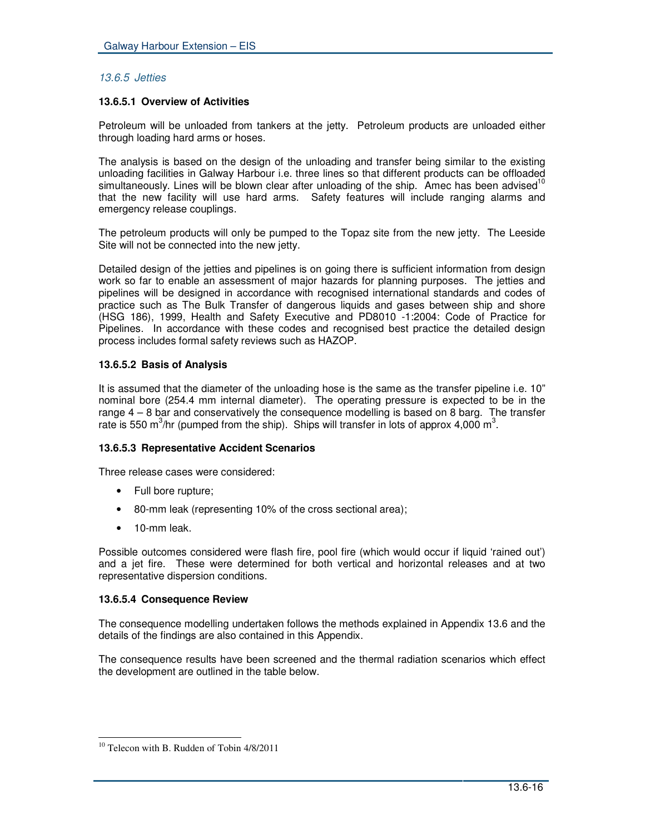# *13.6.5 Jetties*

# **13.6.5.1 Overview of Activities**

Petroleum will be unloaded from tankers at the jetty. Petroleum products are unloaded either through loading hard arms or hoses.

The analysis is based on the design of the unloading and transfer being similar to the existing unloading facilities in Galway Harbour i.e. three lines so that different products can be offloaded simultaneously. Lines will be blown clear after unloading of the ship. Amec has been advised<sup>10</sup> that the new facility will use hard arms. Safety features will include ranging alarms and emergency release couplings.

The petroleum products will only be pumped to the Topaz site from the new jetty. The Leeside Site will not be connected into the new jetty.

Detailed design of the jetties and pipelines is on going there is sufficient information from design work so far to enable an assessment of major hazards for planning purposes. The jetties and pipelines will be designed in accordance with recognised international standards and codes of practice such as The Bulk Transfer of dangerous liquids and gases between ship and shore (HSG 186), 1999, Health and Safety Executive and PD8010 -1:2004: Code of Practice for Pipelines. In accordance with these codes and recognised best practice the detailed design process includes formal safety reviews such as HAZOP.

# **13.6.5.2 Basis of Analysis**

It is assumed that the diameter of the unloading hose is the same as the transfer pipeline i.e. 10" nominal bore (254.4 mm internal diameter). The operating pressure is expected to be in the range 4 – 8 bar and conservatively the consequence modelling is based on 8 barg. The transfer rate is 550 m<sup>3</sup>/hr (pumped from the ship). Ships will transfer in lots of approx 4,000 m<sup>3</sup>.

# **13.6.5.3 Representative Accident Scenarios**

Three release cases were considered:

- Full bore rupture;
- 80-mm leak (representing 10% of the cross sectional area);
- 10-mm leak.

Possible outcomes considered were flash fire, pool fire (which would occur if liquid 'rained out') and a jet fire. These were determined for both vertical and horizontal releases and at two representative dispersion conditions.

## **13.6.5.4 Consequence Review**

The consequence modelling undertaken follows the methods explained in Appendix 13.6 and the details of the findings are also contained in this Appendix.

The consequence results have been screened and the thermal radiation scenarios which effect the development are outlined in the table below.

<sup>&</sup>lt;sup>10</sup> Telecon with B. Rudden of Tobin 4/8/2011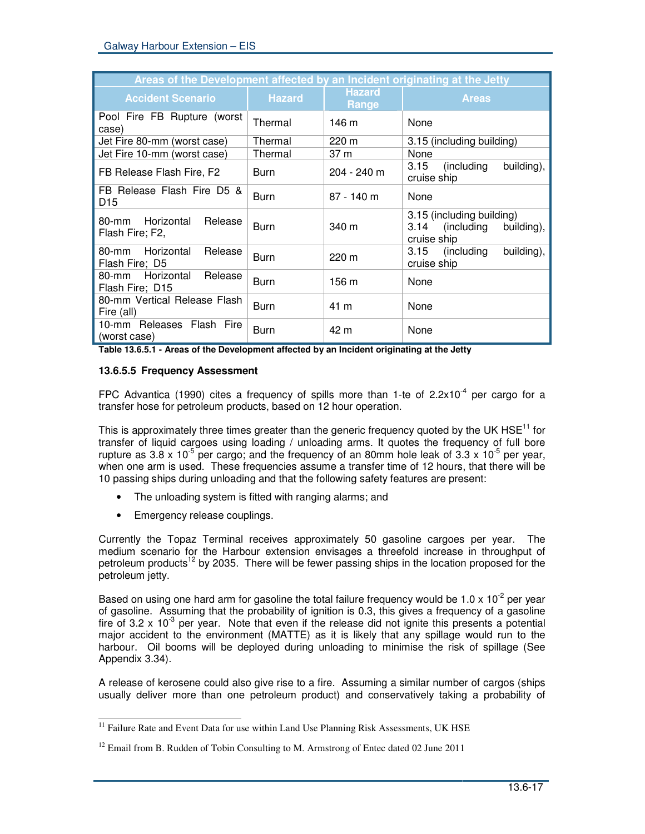| Areas of the Development affected by an Incident originating at the Jetty |               |                        |                                                                           |  |  |
|---------------------------------------------------------------------------|---------------|------------------------|---------------------------------------------------------------------------|--|--|
| <b>Accident Scenario</b>                                                  | <b>Hazard</b> | <b>Hazard</b><br>Range | <b>Areas</b>                                                              |  |  |
| Pool Fire FB Rupture (worst<br>case)                                      | Thermal       | 146 m                  | None                                                                      |  |  |
| Jet Fire 80-mm (worst case)                                               | Thermal       | 220 m                  | 3.15 (including building)                                                 |  |  |
| Jet Fire 10-mm (worst case)                                               | Thermal       | 37 m                   | None                                                                      |  |  |
| FB Release Flash Fire, F2                                                 | Burn          | 204 - 240 m            | (including<br>building),<br>3.15<br>cruise ship                           |  |  |
| FB Release Flash Fire D5 &<br>D <sub>15</sub>                             | <b>Burn</b>   | $87 - 140$ m           | None                                                                      |  |  |
| Horizontal<br>Release<br>80-mm<br>Flash Fire; F2,                         | <b>Burn</b>   | 340 m                  | 3.15 (including building)<br>3.14 (including<br>building),<br>cruise ship |  |  |
| Horizontal<br>Release<br>80-mm<br>Flash Fire; D5                          | <b>Burn</b>   | 220 m                  | 3.15 (including<br>building),<br>cruise ship                              |  |  |
| Release<br>80-mm Horizontal<br>Flash Fire; D15                            | <b>Burn</b>   | 156 m                  | None                                                                      |  |  |
| 80-mm Vertical Release Flash<br>Fire (all)                                | <b>Burn</b>   | 41 m                   | None                                                                      |  |  |
| 10-mm Releases Flash Fire<br>(worst case)                                 | Burn          | 42 m                   | None                                                                      |  |  |

**Table 13.6.5.1 - Areas of the Development affected by an Incident originating at the Jetty**

# **13.6.5.5 Frequency Assessment**

FPC Advantica (1990) cites a frequency of spills more than 1-te of 2.2x10<sup>-4</sup> per cargo for a transfer hose for petroleum products, based on 12 hour operation.

This is approximately three times greater than the generic frequency quoted by the UK HSE<sup>11</sup> for transfer of liquid cargoes using loading / unloading arms. It quotes the frequency of full bore rupture as 3.8 x 10<sup>-5</sup> per cargo; and the frequency of an 80mm hole leak of 3.3 x 10<sup>-5</sup> per year, when one arm is used. These frequencies assume a transfer time of 12 hours, that there will be 10 passing ships during unloading and that the following safety features are present:

- The unloading system is fitted with ranging alarms; and
- Emergency release couplings.

Currently the Topaz Terminal receives approximately 50 gasoline cargoes per year. The medium scenario for the Harbour extension envisages a threefold increase in throughput of petroleum products<sup>12</sup> by 2035. There will be fewer passing ships in the location proposed for the petroleum jetty.

Based on using one hard arm for gasoline the total failure frequency would be 1.0 x 10<sup>-2</sup> per year of gasoline. Assuming that the probability of ignition is 0.3, this gives a frequency of a gasoline fire of 3.2 x 10<sup>-3</sup> per year. Note that even if the release did not ignite this presents a potential major accident to the environment (MATTE) as it is likely that any spillage would run to the harbour. Oil booms will be deployed during unloading to minimise the risk of spillage (See Appendix 3.34).

A release of kerosene could also give rise to a fire. Assuming a similar number of cargos (ships usually deliver more than one petroleum product) and conservatively taking a probability of

<sup>&</sup>lt;sup>11</sup> Failure Rate and Event Data for use within Land Use Planning Risk Assessments, UK HSE

 $12$  Email from B. Rudden of Tobin Consulting to M. Armstrong of Entec dated 02 June 2011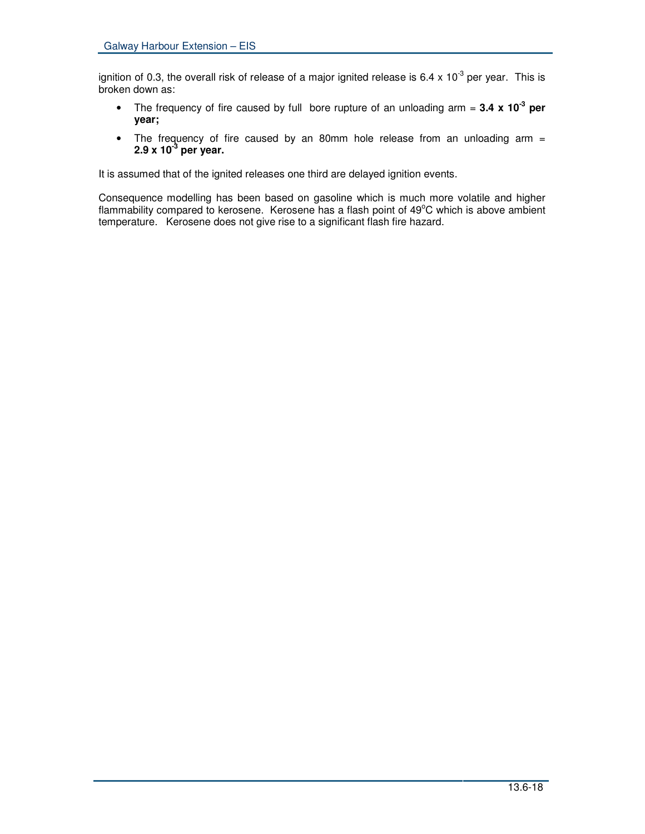ignition of 0.3, the overall risk of release of a major ignited release is 6.4 x 10<sup>-3</sup> per year. This is broken down as:

- The frequency of fire caused by full bore rupture of an unloading arm = **3.4 x 10<sup>-3</sup> per year;**
- The frequency of fire caused by an 80mm hole release from an unloading arm = **2.9 x 10 -3 per year.**

It is assumed that of the ignited releases one third are delayed ignition events.

Consequence modelling has been based on gasoline which is much more volatile and higher flammability compared to kerosene. Kerosene has a flash point of 49°C which is above ambient temperature. Kerosene does not give rise to a significant flash fire hazard.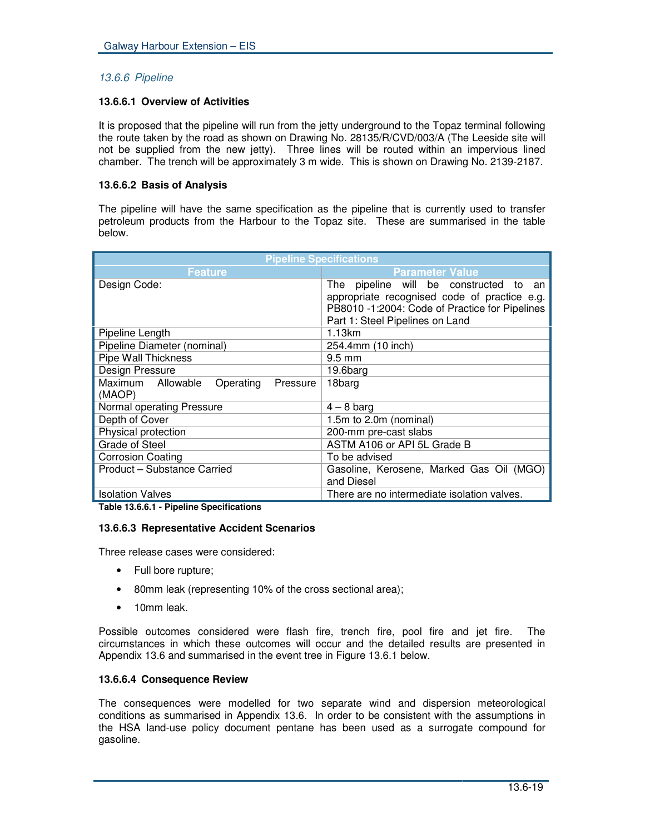# *13.6.6 Pipeline*

## **13.6.6.1 Overview of Activities**

It is proposed that the pipeline will run from the jetty underground to the Topaz terminal following the route taken by the road as shown on Drawing No. 28135/R/CVD/003/A (The Leeside site will not be supplied from the new jetty). Three lines will be routed within an impervious lined chamber. The trench will be approximately 3 m wide. This is shown on Drawing No. 2139-2187.

# **13.6.6.2 Basis of Analysis**

The pipeline will have the same specification as the pipeline that is currently used to transfer petroleum products from the Harbour to the Topaz site. These are summarised in the table below.

| <b>Pipeline Specifications</b>                       |                                                                                                                                                                             |  |  |
|------------------------------------------------------|-----------------------------------------------------------------------------------------------------------------------------------------------------------------------------|--|--|
| <b>Feature</b>                                       | <b>Parameter Value</b>                                                                                                                                                      |  |  |
| Design Code:                                         | The pipeline will be constructed to an<br>appropriate recognised code of practice e.g.<br>PB8010 -1:2004: Code of Practice for Pipelines<br>Part 1: Steel Pipelines on Land |  |  |
| Pipeline Length                                      | 1.13km                                                                                                                                                                      |  |  |
| Pipeline Diameter (nominal)                          | 254.4mm (10 inch)                                                                                                                                                           |  |  |
| Pipe Wall Thickness                                  | $9.5 \text{ mm}$                                                                                                                                                            |  |  |
| Design Pressure                                      | 19.6barg                                                                                                                                                                    |  |  |
| Maximum Allowable<br>Operating<br>Pressure<br>(MAOP) | 18barg                                                                                                                                                                      |  |  |
| Normal operating Pressure                            | $4 - 8$ barg                                                                                                                                                                |  |  |
| Depth of Cover                                       | 1.5m to 2.0m (nominal)                                                                                                                                                      |  |  |
| Physical protection                                  | 200-mm pre-cast slabs                                                                                                                                                       |  |  |
| Grade of Steel                                       | ASTM A106 or API 5L Grade B                                                                                                                                                 |  |  |
| <b>Corrosion Coating</b>                             | To be advised                                                                                                                                                               |  |  |
| Product - Substance Carried                          | Gasoline, Kerosene, Marked Gas Oil (MGO)<br>and Diesel                                                                                                                      |  |  |
| <b>Isolation Valves</b>                              | There are no intermediate isolation valves.                                                                                                                                 |  |  |

**Table 13.6.6.1 - Pipeline Specifications**

## **13.6.6.3 Representative Accident Scenarios**

Three release cases were considered:

- Full bore rupture;
- 80mm leak (representing 10% of the cross sectional area);
- 10mm leak.

Possible outcomes considered were flash fire, trench fire, pool fire and jet fire. The circumstances in which these outcomes will occur and the detailed results are presented in Appendix 13.6 and summarised in the event tree in Figure 13.6.1 below.

## **13.6.6.4 Consequence Review**

The consequences were modelled for two separate wind and dispersion meteorological conditions as summarised in Appendix 13.6. In order to be consistent with the assumptions in the HSA land-use policy document pentane has been used as a surrogate compound for gasoline.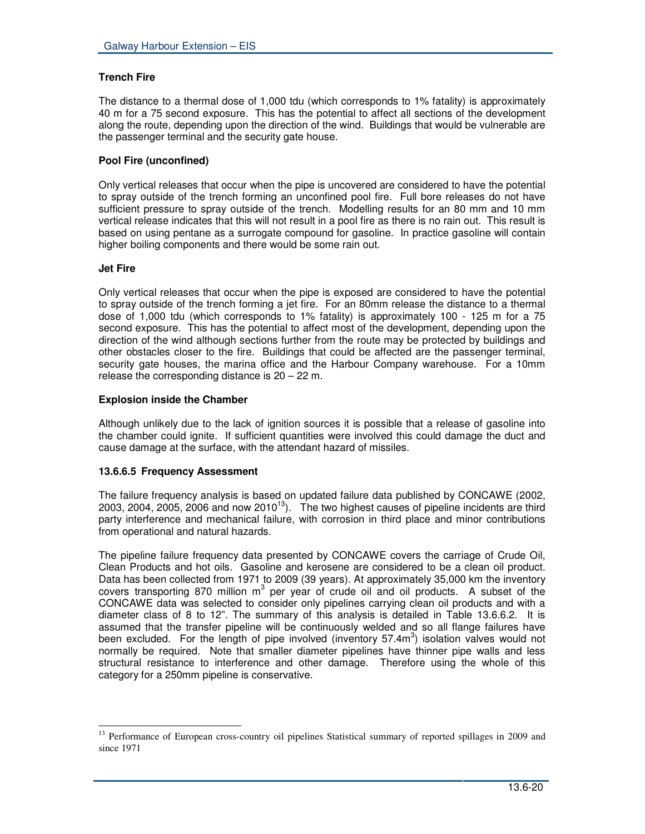# **Trench Fire**

The distance to a thermal dose of 1,000 tdu (which corresponds to 1% fatality) is approximately 40 m for a 75 second exposure. This has the potential to affect all sections of the development along the route, depending upon the direction of the wind. Buildings that would be vulnerable are the passenger terminal and the security gate house.

# **Pool Fire (unconfined)**

Only vertical releases that occur when the pipe is uncovered are considered to have the potential to spray outside of the trench forming an unconfined pool fire. Full bore releases do not have sufficient pressure to spray outside of the trench. Modelling results for an 80 mm and 10 mm vertical release indicates that this will not result in a pool fire as there is no rain out. This result is based on using pentane as a surrogate compound for gasoline. In practice gasoline will contain higher boiling components and there would be some rain out.

# **Jet Fire**

Only vertical releases that occur when the pipe is exposed are considered to have the potential to spray outside of the trench forming a jet fire. For an 80mm release the distance to a thermal dose of 1,000 tdu (which corresponds to 1% fatality) is approximately 100 - 125 m for a 75 second exposure. This has the potential to affect most of the development, depending upon the direction of the wind although sections further from the route may be protected by buildings and other obstacles closer to the fire. Buildings that could be affected are the passenger terminal, security gate houses, the marina office and the Harbour Company warehouse. For a 10mm release the corresponding distance is 20 – 22 m.

# **Explosion inside the Chamber**

Although unlikely due to the lack of ignition sources it is possible that a release of gasoline into the chamber could ignite. If sufficient quantities were involved this could damage the duct and cause damage at the surface, with the attendant hazard of missiles.

# **13.6.6.5 Frequency Assessment**

The failure frequency analysis is based on updated failure data published by CONCAWE (2002, 2003, 2004, 2005, 2006 and now 2010 $^{13}$ ). The two highest causes of pipeline incidents are third party interference and mechanical failure, with corrosion in third place and minor contributions from operational and natural hazards.

The pipeline failure frequency data presented by CONCAWE covers the carriage of Crude Oil, Clean Products and hot oils. Gasoline and kerosene are considered to be a clean oil product. Data has been collected from 1971 to 2009 (39 years). At approximately 35,000 km the inventory covers transporting 870 million  $m^3$  per year of crude oil and oil products. A subset of the CONCAWE data was selected to consider only pipelines carrying clean oil products and with a diameter class of 8 to 12". The summary of this analysis is detailed in Table 13.6.6.2. It is assumed that the transfer pipeline will be continuously welded and so all flange failures have been excluded. For the length of pipe involved (inventory 57.4m<sup>3</sup>) isolation valves would not normally be required. Note that smaller diameter pipelines have thinner pipe walls and less structural resistance to interference and other damage. Therefore using the whole of this category for a 250mm pipeline is conservative.

<sup>&</sup>lt;sup>13</sup> Performance of European cross-country oil pipelines Statistical summary of reported spillages in 2009 and since 1971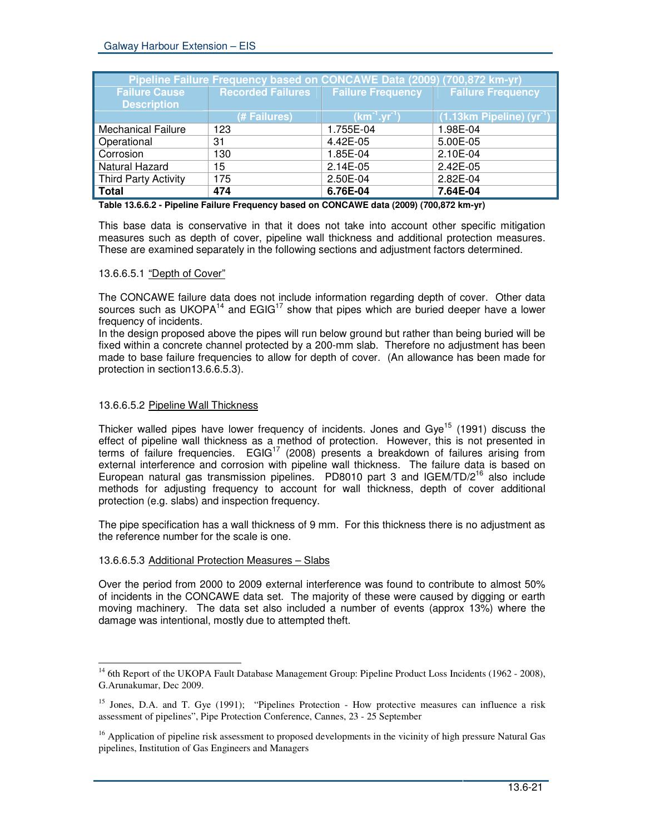| Pipeline Failure Frequency based on CONCAWE Data (2009) (700,872 km-yr) |                          |                          |                                 |  |
|-------------------------------------------------------------------------|--------------------------|--------------------------|---------------------------------|--|
| <b>Failure Cause</b>                                                    | <b>Recorded Failures</b> | <b>Failure Frequency</b> | <b>Failure Frequency</b>        |  |
| <b>Description</b>                                                      |                          |                          |                                 |  |
|                                                                         | (# Failures)             | $(km^{-1}.yr^{-1})$      | $(1.13km$ Pipeline) $(yr^{-1})$ |  |
| <b>Mechanical Failure</b>                                               | 123                      | 1.755E-04                | 1.98E-04                        |  |
| Operational                                                             | 31                       | 4.42E-05                 | 5.00E-05                        |  |
| Corrosion                                                               | 130                      | 1.85E-04                 | 2.10E-04                        |  |
| Natural Hazard                                                          | 15                       | 2.14E-05                 | 2.42E-05                        |  |
| <b>Third Party Activity</b>                                             | 175                      | 2.50E-04                 | 2.82E-04                        |  |
| <b>Total</b>                                                            | 474                      | 6.76E-04                 | 7.64E-04                        |  |

**Table 13.6.6.2 - Pipeline Failure Frequency based on CONCAWE data (2009) (700,872 km-yr)**

This base data is conservative in that it does not take into account other specific mitigation measures such as depth of cover, pipeline wall thickness and additional protection measures. These are examined separately in the following sections and adjustment factors determined.

#### 13.6.6.5.1 "Depth of Cover"

The CONCAWE failure data does not include information regarding depth of cover. Other data sources such as UKOPA<sup>14</sup> and EGIG<sup>17</sup> show that pipes which are buried deeper have a lower frequency of incidents.

In the design proposed above the pipes will run below ground but rather than being buried will be fixed within a concrete channel protected by a 200-mm slab. Therefore no adjustment has been made to base failure frequencies to allow for depth of cover. (An allowance has been made for protection in section13.6.6.5.3).

## 13.6.6.5.2 Pipeline Wall Thickness

Thicker walled pipes have lower frequency of incidents. Jones and Gye<sup>15</sup> (1991) discuss the effect of pipeline wall thickness as a method of protection. However, this is not presented in terms of failure frequencies. EGIG<sup>17</sup> (2008) presents a breakdown of failures arising from external interference and corrosion with pipeline wall thickness. The failure data is based on European natural gas transmission pipelines. PD8010 part 3 and IGEM/TD/2<sup>16</sup> also include methods for adjusting frequency to account for wall thickness, depth of cover additional protection (e.g. slabs) and inspection frequency.

The pipe specification has a wall thickness of 9 mm. For this thickness there is no adjustment as the reference number for the scale is one.

## 13.6.6.5.3 Additional Protection Measures – Slabs

Over the period from 2000 to 2009 external interference was found to contribute to almost 50% of incidents in the CONCAWE data set. The majority of these were caused by digging or earth moving machinery. The data set also included a number of events (approx 13%) where the damage was intentional, mostly due to attempted theft.

<sup>&</sup>lt;sup>14</sup> 6th Report of the UKOPA Fault Database Management Group: Pipeline Product Loss Incidents (1962 - 2008), G.Arunakumar, Dec 2009.

<sup>&</sup>lt;sup>15</sup> Jones, D.A. and T. Gye (1991); "Pipelines Protection - How protective measures can influence a risk assessment of pipelines", Pipe Protection Conference, Cannes, 23 - 25 September

<sup>&</sup>lt;sup>16</sup> Application of pipeline risk assessment to proposed developments in the vicinity of high pressure Natural Gas pipelines, Institution of Gas Engineers and Managers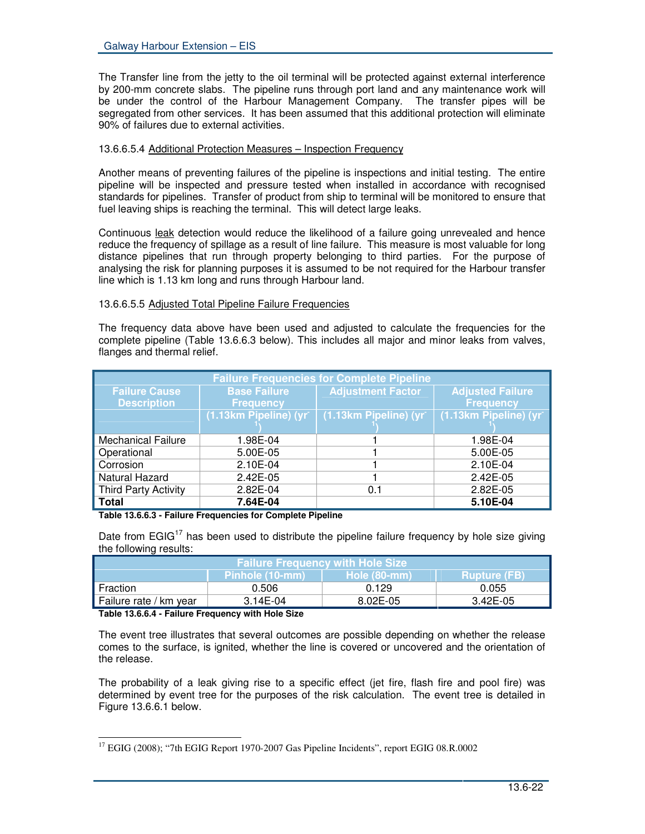The Transfer line from the jetty to the oil terminal will be protected against external interference by 200-mm concrete slabs. The pipeline runs through port land and any maintenance work will be under the control of the Harbour Management Company. The transfer pipes will be segregated from other services. It has been assumed that this additional protection will eliminate 90% of failures due to external activities.

# 13.6.6.5.4 Additional Protection Measures - Inspection Frequency

Another means of preventing failures of the pipeline is inspections and initial testing. The entire pipeline will be inspected and pressure tested when installed in accordance with recognised standards for pipelines. Transfer of product from ship to terminal will be monitored to ensure that fuel leaving ships is reaching the terminal. This will detect large leaks.

Continuous leak detection would reduce the likelihood of a failure going unrevealed and hence reduce the frequency of spillage as a result of line failure. This measure is most valuable for long distance pipelines that run through property belonging to third parties. For the purpose of analysing the risk for planning purposes it is assumed to be not required for the Harbour transfer line which is 1.13 km long and runs through Harbour land.

## 13.6.6.5.5 Adjusted Total Pipeline Failure Frequencies

The frequency data above have been used and adjusted to calculate the frequencies for the complete pipeline (Table 13.6.6.3 below). This includes all major and minor leaks from valves, flanges and thermal relief.

| <b>Failure Frequencies for Complete Pipeline</b> |                                 |                          |                         |  |
|--------------------------------------------------|---------------------------------|--------------------------|-------------------------|--|
| <b>Failure Cause</b>                             | <b>Base Failure</b>             | <b>Adjustment Factor</b> | <b>Adjusted Failure</b> |  |
| <b>Description</b>                               | <b>Frequency</b>                |                          | <b>Frequency</b>        |  |
|                                                  | $(1.13km$ Pipeline) (yr $\vert$ | (1.13km Pipeline) (yr    | (1.13km Pipeline) (yr   |  |
| <b>Mechanical Failure</b>                        | 1.98E-04                        |                          | 1.98E-04                |  |
| Operational                                      | 5.00E-05                        |                          | 5.00E-05                |  |
| Corrosion                                        | 2.10E-04                        |                          | 2.10E-04                |  |
| Natural Hazard                                   | 2.42E-05                        |                          | 2.42E-05                |  |
| <b>Third Party Activity</b>                      | 2.82E-04                        | 0.1                      | 2.82E-05                |  |
| <b>Total</b>                                     | 7.64E-04                        |                          | 5.10E-04                |  |

# **Table 13.6.6.3 - Failure Frequencies for Complete Pipeline**

Date from EGIG<sup>17</sup> has been used to distribute the pipeline failure frequency by hole size giving the following results:

| । Failure Frequencv with Hole Size  ' |                  |                       |                     |  |
|---------------------------------------|------------------|-----------------------|---------------------|--|
|                                       | ZPinhole (10-mm) | <b>Hole (80-mm)</b> ا | <b>Rupture (FB)</b> |  |
| Fraction                              | 0.506            | 0.129                 | 0.055               |  |
| . Failure rate / km year              | $3.14E-04$       | 8.02E-05              | 3.42E-05            |  |

#### **Table 13.6.6.4 - Failure Frequency with Hole Size**

The event tree illustrates that several outcomes are possible depending on whether the release comes to the surface, is ignited, whether the line is covered or uncovered and the orientation of the release.

The probability of a leak giving rise to a specific effect (jet fire, flash fire and pool fire) was determined by event tree for the purposes of the risk calculation. The event tree is detailed in Figure 13.6.6.1 below.

<sup>&</sup>lt;sup>17</sup> EGIG (2008); "7th EGIG Report 1970-2007 Gas Pipeline Incidents", report EGIG 08.R.0002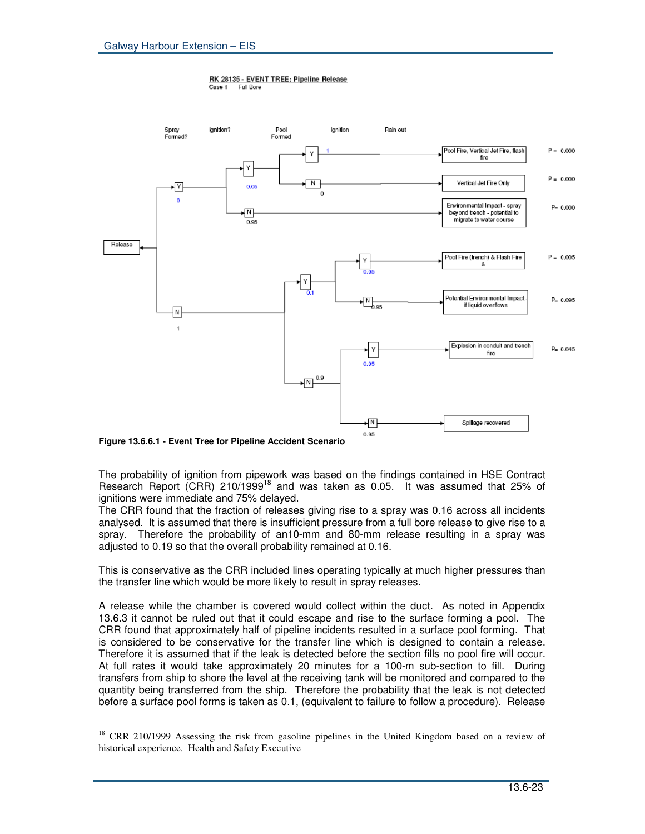



**Figure 13.6.6.1 - Event Tree for Pipeline Accident Scenario**

The probability of ignition from pipework was based on the findings contained in HSE Contract Research Report (CRR) 210/1999<sup>18</sup> and was taken as 0.05. It was assumed that 25% of ignitions were immediate and 75% delayed.

The CRR found that the fraction of releases giving rise to a spray was 0.16 across all incidents analysed. It is assumed that there is insufficient pressure from a full bore release to give rise to a spray. Therefore the probability of an10-mm and 80-mm release resulting in a spray was adjusted to 0.19 so that the overall probability remained at 0.16.

This is conservative as the CRR included lines operating typically at much higher pressures than the transfer line which would be more likely to result in spray releases.

A release while the chamber is covered would collect within the duct. As noted in Appendix 13.6.3 it cannot be ruled out that it could escape and rise to the surface forming a pool. The CRR found that approximately half of pipeline incidents resulted in a surface pool forming. That is considered to be conservative for the transfer line which is designed to contain a release. Therefore it is assumed that if the leak is detected before the section fills no pool fire will occur. At full rates it would take approximately 20 minutes for a 100-m sub-section to fill. During transfers from ship to shore the level at the receiving tank will be monitored and compared to the quantity being transferred from the ship. Therefore the probability that the leak is not detected before a surface pool forms is taken as 0.1, (equivalent to failure to follow a procedure). Release

<sup>&</sup>lt;sup>18</sup> CRR 210/1999 Assessing the risk from gasoline pipelines in the United Kingdom based on a review of historical experience. Health and Safety Executive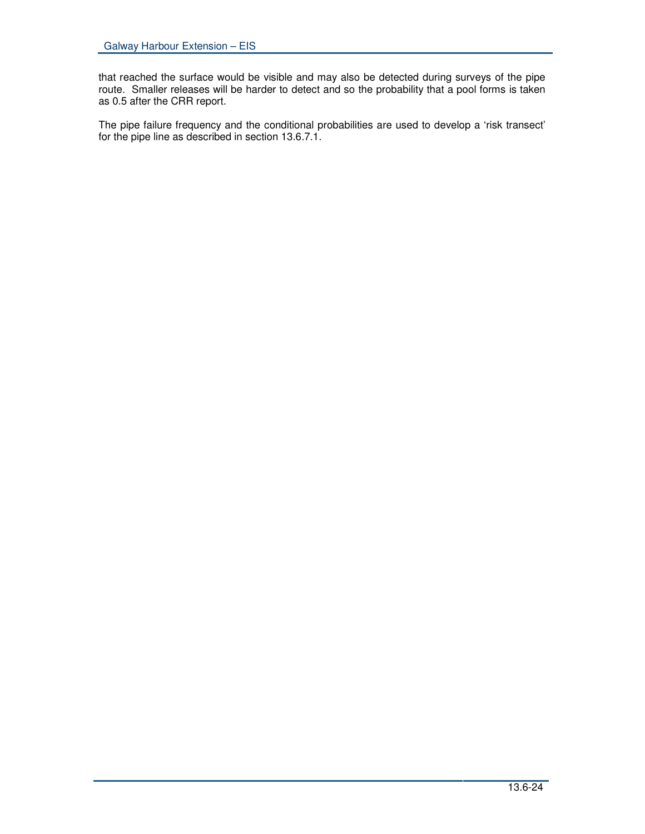that reached the surface would be visible and may also be detected during surveys of the pipe route. Smaller releases will be harder to detect and so the probability that a pool forms is taken as 0.5 after the CRR report.

The pipe failure frequency and the conditional probabilities are used to develop a 'risk transect' for the pipe line as described in section 13.6.7.1.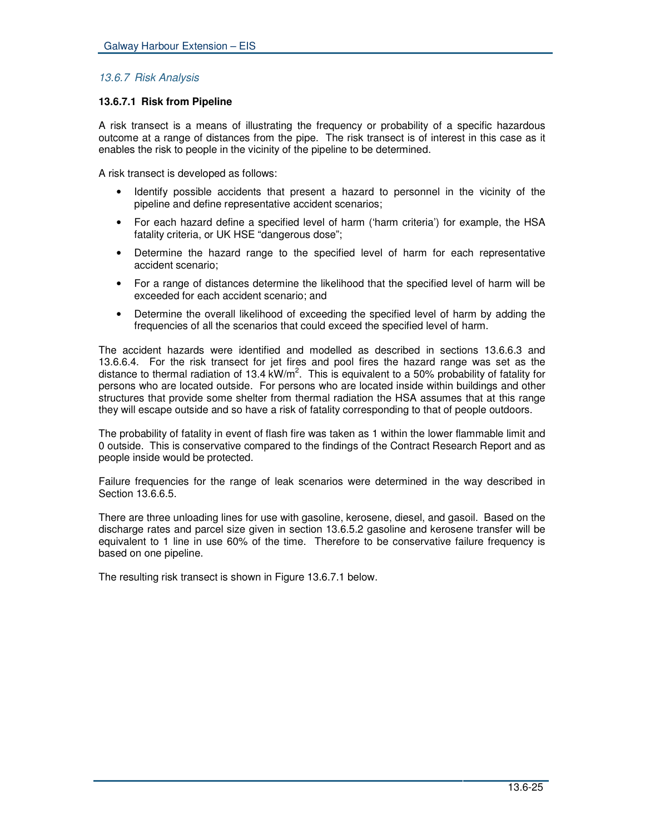# *13.6.7 Risk Analysis*

# **13.6.7.1 Risk from Pipeline**

A risk transect is a means of illustrating the frequency or probability of a specific hazardous outcome at a range of distances from the pipe. The risk transect is of interest in this case as it enables the risk to people in the vicinity of the pipeline to be determined.

A risk transect is developed as follows:

- Identify possible accidents that present a hazard to personnel in the vicinity of the pipeline and define representative accident scenarios;
- For each hazard define a specified level of harm ('harm criteria') for example, the HSA fatality criteria, or UK HSE "dangerous dose";
- Determine the hazard range to the specified level of harm for each representative accident scenario;
- For a range of distances determine the likelihood that the specified level of harm will be exceeded for each accident scenario; and
- Determine the overall likelihood of exceeding the specified level of harm by adding the frequencies of all the scenarios that could exceed the specified level of harm.

The accident hazards were identified and modelled as described in sections 13.6.6.3 and 13.6.6.4. For the risk transect for jet fires and pool fires the hazard range was set as the distance to thermal radiation of 13.4 kW/m<sup>2</sup>. This is equivalent to a 50% probability of fatality for persons who are located outside. For persons who are located inside within buildings and other structures that provide some shelter from thermal radiation the HSA assumes that at this range they will escape outside and so have a risk of fatality corresponding to that of people outdoors.

The probability of fatality in event of flash fire was taken as 1 within the lower flammable limit and 0 outside. This is conservative compared to the findings of the Contract Research Report and as people inside would be protected.

Failure frequencies for the range of leak scenarios were determined in the way described in Section 13.6.6.5.

There are three unloading lines for use with gasoline, kerosene, diesel, and gasoil. Based on the discharge rates and parcel size given in section 13.6.5.2 gasoline and kerosene transfer will be equivalent to 1 line in use 60% of the time. Therefore to be conservative failure frequency is based on one pipeline.

The resulting risk transect is shown in Figure 13.6.7.1 below.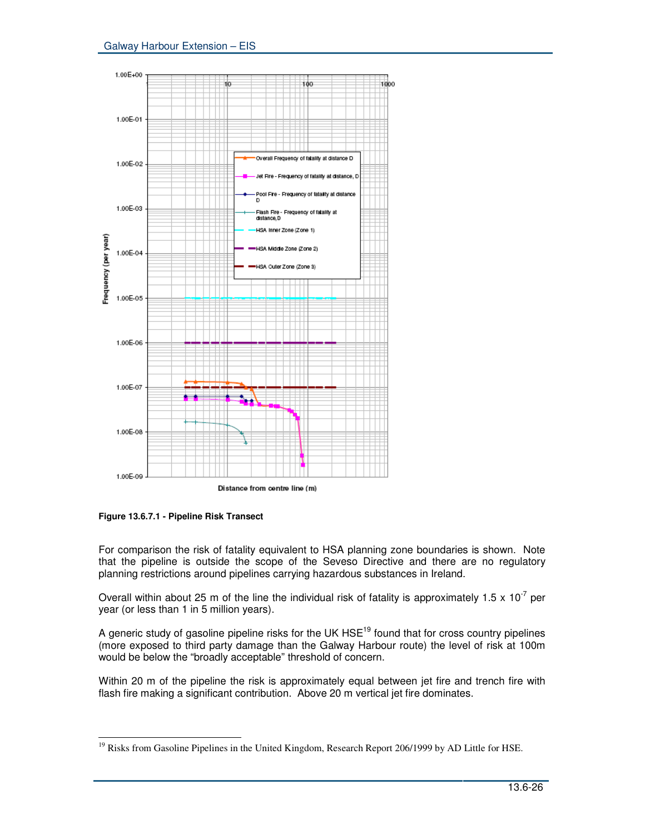

**Figure 13.6.7.1 - Pipeline Risk Transect**

For comparison the risk of fatality equivalent to HSA planning zone boundaries is shown. Note that the pipeline is outside the scope of the Seveso Directive and there are no regulatory planning restrictions around pipelines carrying hazardous substances in Ireland.

Overall within about 25 m of the line the individual risk of fatality is approximately 1.5 x 10<sup>-7</sup> per year (or less than 1 in 5 million years).

A generic study of gasoline pipeline risks for the UK HSE<sup>19</sup> found that for cross country pipelines (more exposed to third party damage than the Galway Harbour route) the level of risk at 100m would be below the "broadly acceptable" threshold of concern.

Within 20 m of the pipeline the risk is approximately equal between jet fire and trench fire with flash fire making a significant contribution. Above 20 m vertical jet fire dominates.

<sup>&</sup>lt;sup>19</sup> Risks from Gasoline Pipelines in the United Kingdom, Research Report 206/1999 by AD Little for HSE.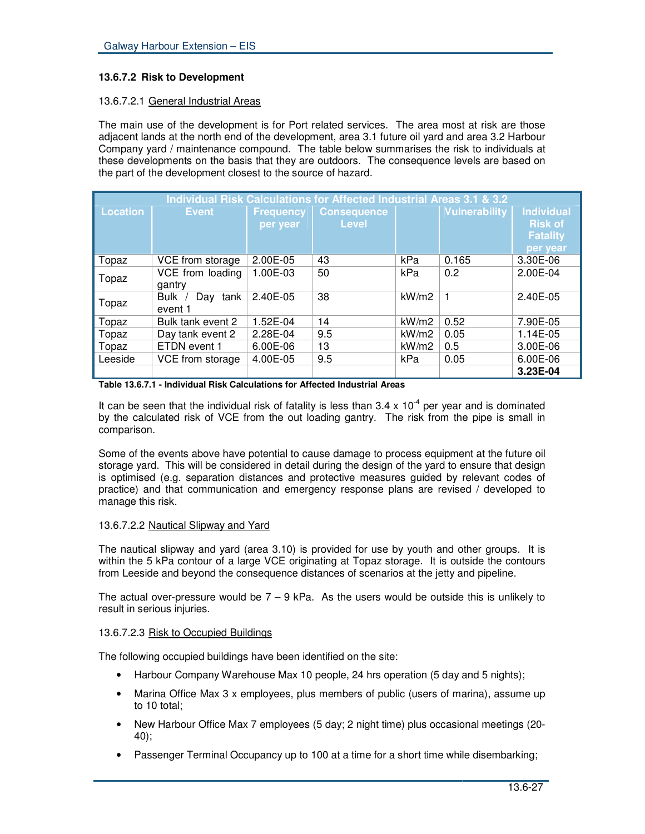# **13.6.7.2 Risk to Development**

## 13.6.7.2.1 General Industrial Areas

The main use of the development is for Port related services. The area most at risk are those adjacent lands at the north end of the development, area 3.1 future oil yard and area 3.2 Harbour Company yard / maintenance compound. The table below summarises the risk to individuals at these developments on the basis that they are outdoors. The consequence levels are based on the part of the development closest to the source of hazard.

| Individual Risk Calculations for Affected Industrial Areas 3.1 & 3.2 |                             |                              |                                    |       |                      |                                                                    |
|----------------------------------------------------------------------|-----------------------------|------------------------------|------------------------------------|-------|----------------------|--------------------------------------------------------------------|
| <b>Location</b>                                                      | <b>Event</b>                | <b>Frequency</b><br>per year | <b>Consequence</b><br><b>Level</b> |       | <b>Vulnerability</b> | <b>Individual</b><br><b>Risk of</b><br><b>Fatality</b><br>per year |
| Topaz                                                                | VCE from storage            | 2.00E-05                     | 43                                 | kPa   | 0.165                | 3.30E-06                                                           |
| Topaz                                                                | VCE from loading<br>gantry  | 1.00E-03                     | 50                                 | kPa   | 0.2                  | 2.00E-04                                                           |
| Topaz                                                                | Bulk<br>Day tank<br>event 1 | 2.40E-05                     | 38                                 | kW/m2 | 1                    | 2.40E-05                                                           |
| Topaz                                                                | Bulk tank event 2           | 1.52E-04                     | 14                                 | kW/m2 | 0.52                 | 7.90E-05                                                           |
| Topaz                                                                | Day tank event 2            | 2.28E-04                     | 9.5                                | kW/m2 | 0.05                 | 1.14E-05                                                           |
| Topaz                                                                | ETDN event 1                | 6.00E-06                     | 13                                 | kW/m2 | 0.5                  | 3.00E-06                                                           |
| Leeside                                                              | VCE from storage            | 4.00E-05                     | 9.5                                | kPa   | 0.05                 | 6.00E-06                                                           |
|                                                                      |                             |                              |                                    |       |                      | 3.23E-04                                                           |

**Table 13.6.7.1 - Individual Risk Calculations for Affected Industrial Areas**

It can be seen that the individual risk of fatality is less than 3.4 x 10<sup>-4</sup> per year and is dominated by the calculated risk of VCE from the out loading gantry. The risk from the pipe is small in comparison.

Some of the events above have potential to cause damage to process equipment at the future oil storage yard. This will be considered in detail during the design of the yard to ensure that design is optimised (e.g. separation distances and protective measures guided by relevant codes of practice) and that communication and emergency response plans are revised / developed to manage this risk.

## 13.6.7.2.2 Nautical Slipway and Yard

The nautical slipway and yard (area 3.10) is provided for use by youth and other groups. It is within the 5 kPa contour of a large VCE originating at Topaz storage. It is outside the contours from Leeside and beyond the consequence distances of scenarios at the jetty and pipeline.

The actual over-pressure would be  $7 - 9$  kPa. As the users would be outside this is unlikely to result in serious injuries.

## 13.6.7.2.3 Risk to Occupied Buildings

The following occupied buildings have been identified on the site:

- Harbour Company Warehouse Max 10 people, 24 hrs operation (5 day and 5 nights);
- Marina Office Max 3 x employees, plus members of public (users of marina), assume up to 10 total;
- New Harbour Office Max 7 employees (5 day; 2 night time) plus occasional meetings (20- 40);
- Passenger Terminal Occupancy up to 100 at a time for a short time while disembarking;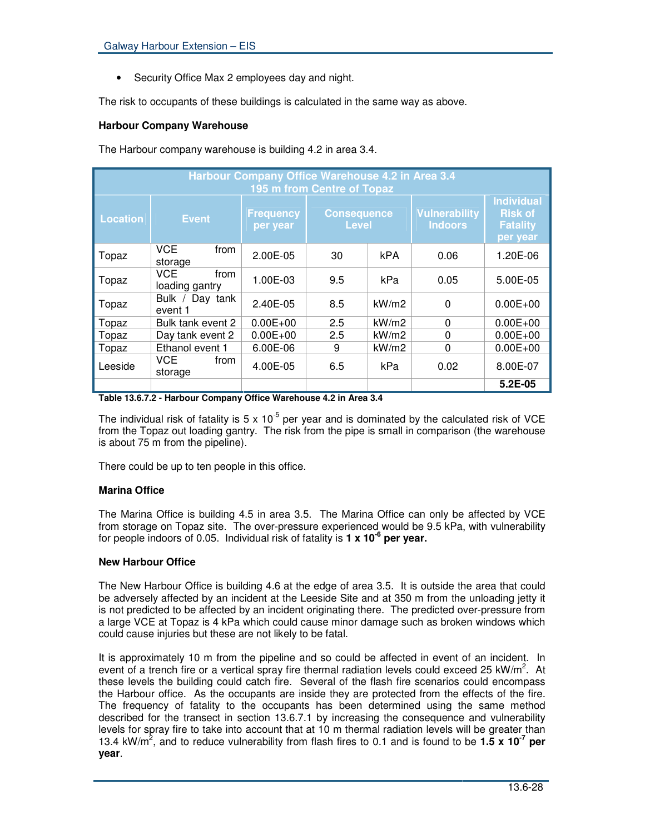• Security Office Max 2 employees day and night.

The risk to occupants of these buildings is calculated in the same way as above.

# **Harbour Company Warehouse**

The Harbour company warehouse is building 4.2 in area 3.4.

| Harbour Company Office Warehouse 4.2 in Area 3.4<br>195 m from Centre of Topaz |                                      |                              |                                    |            |                                        |                                                                    |
|--------------------------------------------------------------------------------|--------------------------------------|------------------------------|------------------------------------|------------|----------------------------------------|--------------------------------------------------------------------|
| <b>Location</b>                                                                | <b>Event</b>                         | <b>Frequency</b><br>per year | <b>Consequence</b><br><b>Level</b> |            | <b>Vulnerability</b><br><b>Indoors</b> | <b>Individual</b><br><b>Risk of</b><br><b>Fatality</b><br>per year |
| Topaz                                                                          | VCE.<br>from<br>storage              | 2.00E-05                     | 30                                 | <b>kPA</b> | 0.06                                   | 1.20E-06                                                           |
| Topaz                                                                          | <b>VCE</b><br>from<br>loading gantry | 1.00E-03                     | 9.5                                | kPa        | 0.05                                   | 5.00E-05                                                           |
| Topaz                                                                          | Bulk / Day tank<br>event 1           | 2.40E-05                     | 8.5                                | kW/m2      | $\Omega$                               | $0.00E + 00$                                                       |
| Topaz                                                                          | Bulk tank event 2                    | $0.00E + 00$                 | 2.5                                | kW/m2      | $\mathbf{0}$                           | $0.00E + 00$                                                       |
| Topaz                                                                          | Day tank event 2                     | $0.00E + 00$                 | 2.5                                | kW/m2      | 0                                      | $0.00E + 00$                                                       |
| Topaz                                                                          | Ethanol event 1                      | 6.00E-06                     | 9                                  | kW/m2      | $\Omega$                               | $0.00E + 00$                                                       |
| Leeside                                                                        | VCE.<br>from<br>storage              | 4.00E-05                     | 6.5                                | kPa        | 0.02                                   | 8.00E-07                                                           |
|                                                                                |                                      |                              |                                    |            |                                        | $5.2E-0.5$                                                         |

**Table 13.6.7.2 - Harbour Company Office Warehouse 4.2 in Area 3.4**

The individual risk of fatality is 5 x 10<sup>-5</sup> per year and is dominated by the calculated risk of VCE from the Topaz out loading gantry. The risk from the pipe is small in comparison (the warehouse is about 75 m from the pipeline).

There could be up to ten people in this office.

# **Marina Office**

The Marina Office is building 4.5 in area 3.5. The Marina Office can only be affected by VCE from storage on Topaz site. The over-pressure experienced would be 9.5 kPa, with vulnerability for people indoors of 0.05. Individual risk of fatality is **1 x 10 -6 per year.**

## **New Harbour Office**

The New Harbour Office is building 4.6 at the edge of area 3.5. It is outside the area that could be adversely affected by an incident at the Leeside Site and at 350 m from the unloading jetty it is not predicted to be affected by an incident originating there. The predicted over-pressure from a large VCE at Topaz is 4 kPa which could cause minor damage such as broken windows which could cause injuries but these are not likely to be fatal.

It is approximately 10 m from the pipeline and so could be affected in event of an incident. In event of a trench fire or a vertical spray fire thermal radiation levels could exceed 25 kW/m<sup>2</sup>. At these levels the building could catch fire. Several of the flash fire scenarios could encompass the Harbour office. As the occupants are inside they are protected from the effects of the fire. The frequency of fatality to the occupants has been determined using the same method described for the transect in section 13.6.7.1 by increasing the consequence and vulnerability levels for spray fire to take into account that at 10 m thermal radiation levels will be greater than 13.4 kW/m<sup>2</sup>, and to reduce vulnerability from flash fires to 0.1 and is found to be 1.5 **x 10<sup>-7</sup>** per **year**.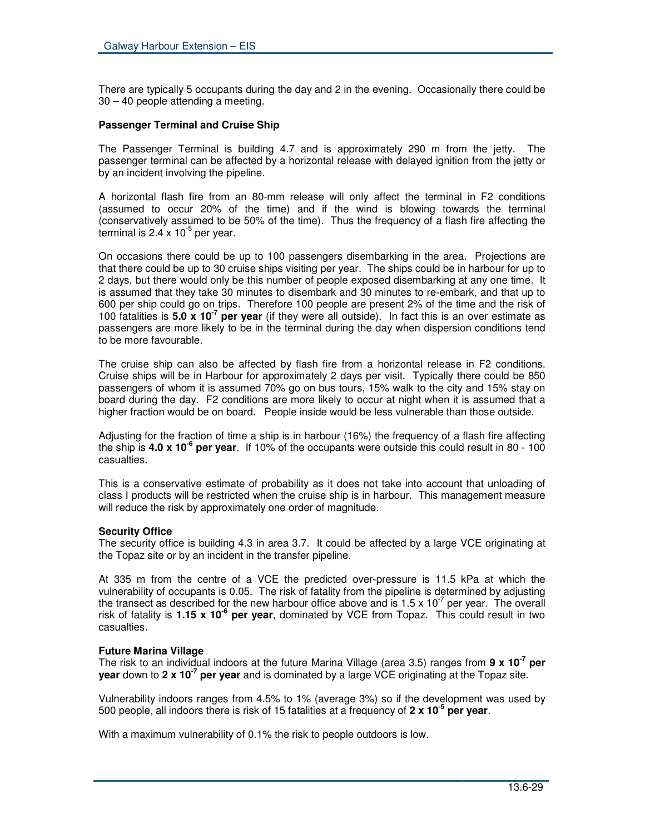There are typically 5 occupants during the day and 2 in the evening. Occasionally there could be 30 – 40 people attending a meeting.

## **Passenger Terminal and Cruise Ship**

The Passenger Terminal is building 4.7 and is approximately 290 m from the jetty. The passenger terminal can be affected by a horizontal release with delayed ignition from the jetty or by an incident involving the pipeline.

A horizontal flash fire from an 80-mm release will only affect the terminal in F2 conditions (assumed to occur 20% of the time) and if the wind is blowing towards the terminal (conservatively assumed to be 50% of the time). Thus the frequency of a flash fire affecting the terminal is  $2.4 \times 10^{-5}$  per year.

On occasions there could be up to 100 passengers disembarking in the area. Projections are that there could be up to 30 cruise ships visiting per year. The ships could be in harbour for up to 2 days, but there would only be this number of people exposed disembarking at any one time. It is assumed that they take 30 minutes to disembark and 30 minutes to re-embark, and that up to 600 per ship could go on trips. Therefore 100 people are present 2% of the time and the risk of 100 fatalities is **5.0 x 10 -7 per year** (if they were all outside). In fact this is an over estimate as passengers are more likely to be in the terminal during the day when dispersion conditions tend to be more favourable.

The cruise ship can also be affected by flash fire from a horizontal release in F2 conditions. Cruise ships will be in Harbour for approximately 2 days per visit. Typically there could be 850 passengers of whom it is assumed 70% go on bus tours, 15% walk to the city and 15% stay on board during the day. F2 conditions are more likely to occur at night when it is assumed that a higher fraction would be on board. People inside would be less vulnerable than those outside.

Adjusting for the fraction of time a ship is in harbour (16%) the frequency of a flash fire affecting the ship is **4.0 x 10 -6 per year**. If 10% of the occupants were outside this could result in 80 - 100 casualties.

This is a conservative estimate of probability as it does not take into account that unloading of class I products will be restricted when the cruise ship is in harbour. This management measure will reduce the risk by approximately one order of magnitude.

## **Security Office**

The security office is building 4.3 in area 3.7. It could be affected by a large VCE originating at the Topaz site or by an incident in the transfer pipeline.

At 335 m from the centre of a VCE the predicted over-pressure is 11.5 kPa at which the vulnerability of occupants is 0.05. The risk of fatality from the pipeline is determined by adjusting the transect as described for the new harbour office above and is 1.5 x 10<sup>-7</sup> per year. The overall risk of fatality is **1.15 x 10 -6 per year**, dominated by VCE from Topaz. This could result in two casualties.

## **Future Marina Village**

The risk to an individual indoors at the future Marina Village (area 3.5) ranges from **9 x 10 -7 per year** down to 2 **x 10<sup>-7</sup> per year** and is dominated by a large VCE originating at the Topaz site.

Vulnerability indoors ranges from 4.5% to 1% (average 3%) so if the development was used by 500 people, all indoors there is risk of 15 fatalities at a frequency of **2 x 10 -5 per year**.

With a maximum vulnerability of 0.1% the risk to people outdoors is low.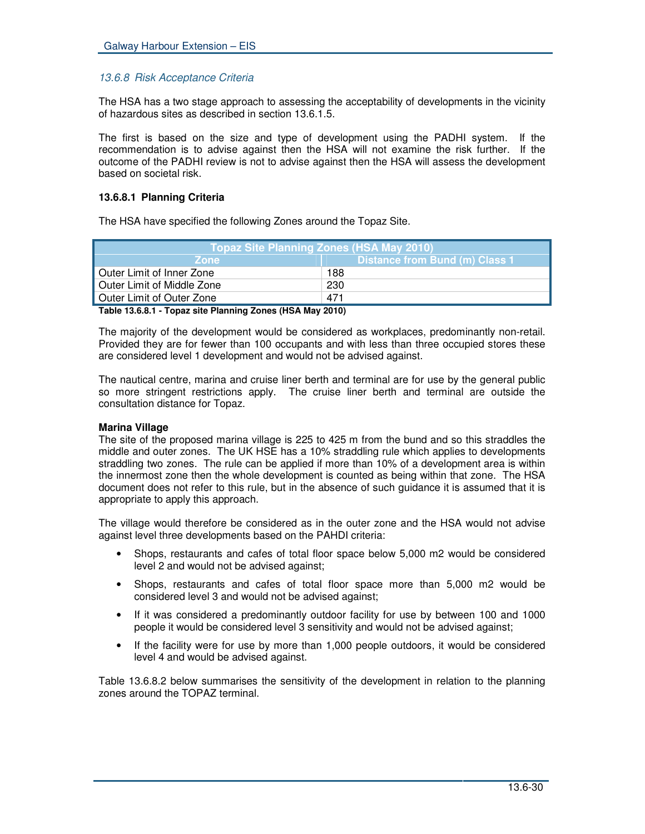# *13.6.8 Risk Acceptance Criteria*

The HSA has a two stage approach to assessing the acceptability of developments in the vicinity of hazardous sites as described in section 13.6.1.5.

The first is based on the size and type of development using the PADHI system. If the recommendation is to advise against then the HSA will not examine the risk further. If the outcome of the PADHI review is not to advise against then the HSA will assess the development based on societal risk.

## **13.6.8.1 Planning Criteria**

The HSA have specified the following Zones around the Topaz Site.

| Topaz Site Planning Zones (HSA May 2010) |                                |  |  |  |
|------------------------------------------|--------------------------------|--|--|--|
| <b>Zone</b>                              | Distance from Bund (m) Class 1 |  |  |  |
| Outer Limit of Inner Zone                | 188                            |  |  |  |
| <sup>1</sup> Outer Limit of Middle Zone  | 230                            |  |  |  |
| Outer Limit of Outer Zone                | 471                            |  |  |  |
|                                          |                                |  |  |  |

**Table 13.6.8.1 - Topaz site Planning Zones (HSA May 2010)**

The majority of the development would be considered as workplaces, predominantly non-retail. Provided they are for fewer than 100 occupants and with less than three occupied stores these are considered level 1 development and would not be advised against.

The nautical centre, marina and cruise liner berth and terminal are for use by the general public so more stringent restrictions apply. The cruise liner berth and terminal are outside the consultation distance for Topaz.

## **Marina Village**

The site of the proposed marina village is 225 to 425 m from the bund and so this straddles the middle and outer zones. The UK HSE has a 10% straddling rule which applies to developments straddling two zones. The rule can be applied if more than 10% of a development area is within the innermost zone then the whole development is counted as being within that zone. The HSA document does not refer to this rule, but in the absence of such guidance it is assumed that it is appropriate to apply this approach.

The village would therefore be considered as in the outer zone and the HSA would not advise against level three developments based on the PAHDI criteria:

- Shops, restaurants and cafes of total floor space below 5,000 m2 would be considered level 2 and would not be advised against;
- Shops, restaurants and cafes of total floor space more than 5,000 m2 would be considered level 3 and would not be advised against;
- If it was considered a predominantly outdoor facility for use by between 100 and 1000 people it would be considered level 3 sensitivity and would not be advised against;
- If the facility were for use by more than 1,000 people outdoors, it would be considered level 4 and would be advised against.

Table 13.6.8.2 below summarises the sensitivity of the development in relation to the planning zones around the TOPAZ terminal.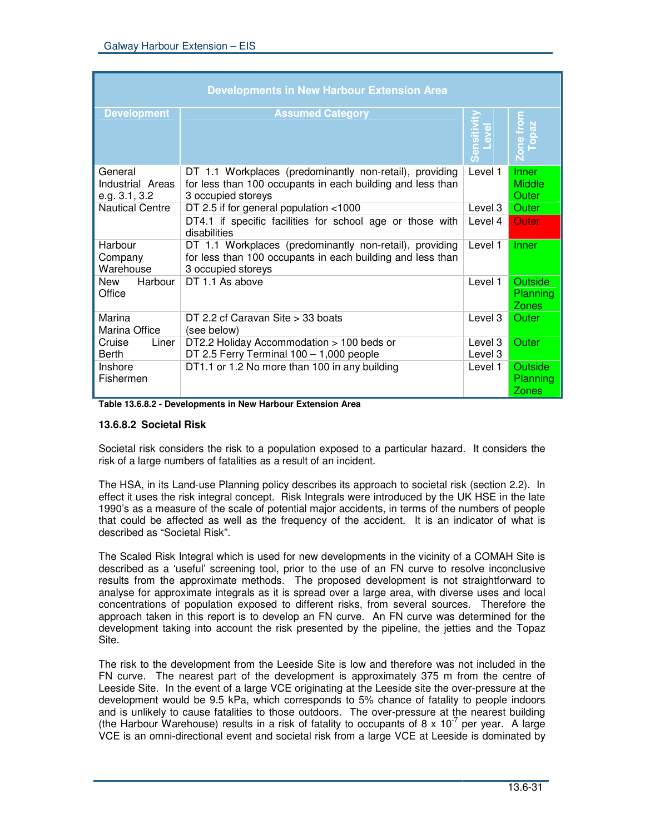|                                              | <b>Developments in New Harbour Extension Area</b>                                                                                                           |                    |                                            |
|----------------------------------------------|-------------------------------------------------------------------------------------------------------------------------------------------------------------|--------------------|--------------------------------------------|
| <b>Development</b>                           | <b>Assumed Category</b>                                                                                                                                     | Sensiti            | Zone from<br>Topaz                         |
| General<br>Industrial Areas<br>e.g. 3.1, 3.2 | DT 1.1 Workplaces (predominantly non-retail), providing<br>for less than 100 occupants in each building and less than<br>3 occupied storeys                 | Level 1            | Inner<br><b>Middle</b><br>Outer            |
| <b>Nautical Centre</b>                       | DT 2.5 if for general population <1000<br>DT4.1 if specific facilities for school age or those with                                                         | Level 3<br>Level 4 | Outer<br>Outer                             |
| Harbour<br>Company<br>Warehouse              | disabilities<br>DT 1.1 Workplaces (predominantly non-retail), providing<br>for less than 100 occupants in each building and less than<br>3 occupied storeys | Level 1            | Inner                                      |
| Harbour<br>New<br>Office                     | DT 1.1 As above                                                                                                                                             | Level 1            | <b>Outside</b><br>Planning<br><b>Zones</b> |
| Marina<br>Marina Office                      | DT 2.2 cf Caravan Site > 33 boats<br>(see below)                                                                                                            | Level 3            | Outer                                      |
| Cruise<br>Liner<br><b>Berth</b>              | DT2.2 Holiday Accommodation > 100 beds or<br>DT 2.5 Ferry Terminal 100 - 1,000 people                                                                       | Level 3<br>Level 3 | <b>Outer</b>                               |
| Inshore<br>Fishermen                         | DT1.1 or 1.2 No more than 100 in any building                                                                                                               | Level 1            | <b>Outside</b><br>Planning<br><b>Zones</b> |

**Table 13.6.8.2 - Developments in New Harbour Extension Area**

## **13.6.8.2 Societal Risk**

Societal risk considers the risk to a population exposed to a particular hazard. It considers the risk of a large numbers of fatalities as a result of an incident.

The HSA, in its Land-use Planning policy describes its approach to societal risk (section 2.2). In effect it uses the risk integral concept. Risk Integrals were introduced by the UK HSE in the late 1990's as a measure of the scale of potential major accidents, in terms of the numbers of people that could be affected as well as the frequency of the accident. It is an indicator of what is described as "Societal Risk".

The Scaled Risk Integral which is used for new developments in the vicinity of a COMAH Site is described as a 'useful' screening tool, prior to the use of an FN curve to resolve inconclusive results from the approximate methods. The proposed development is not straightforward to analyse for approximate integrals as it is spread over a large area, with diverse uses and local concentrations of population exposed to different risks, from several sources. Therefore the approach taken in this report is to develop an FN curve. An FN curve was determined for the development taking into account the risk presented by the pipeline, the jetties and the Topaz Site.

The risk to the development from the Leeside Site is low and therefore was not included in the FN curve. The nearest part of the development is approximately 375 m from the centre of Leeside Site. In the event of a large VCE originating at the Leeside site the over-pressure at the development would be 9.5 kPa, which corresponds to 5% chance of fatality to people indoors and is unlikely to cause fatalities to those outdoors. The over-pressure at the nearest building (the Harbour Warehouse) results in a risk of fatality to occupants of 8 x 10<sup>-7</sup> per year. A large VCE is an omni-directional event and societal risk from a large VCE at Leeside is dominated by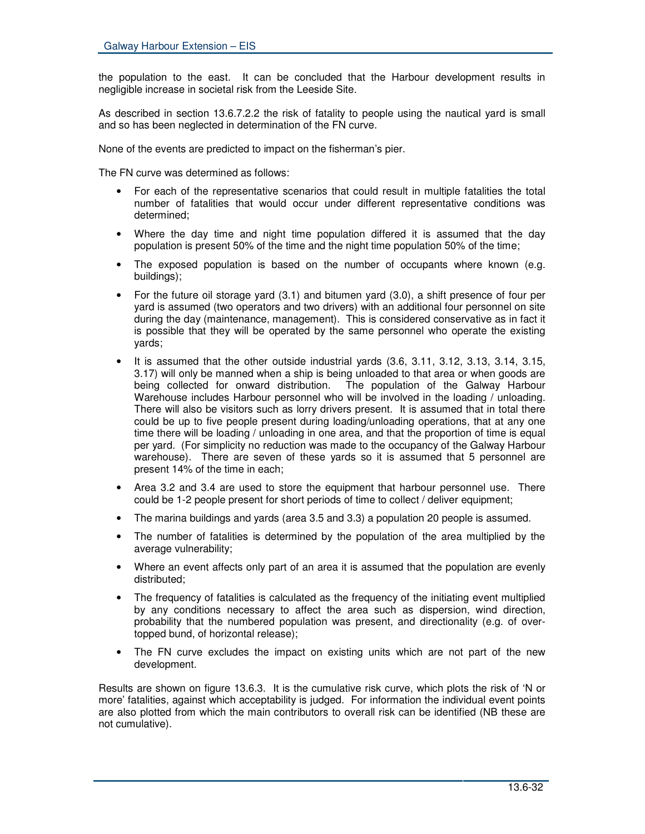the population to the east. It can be concluded that the Harbour development results in negligible increase in societal risk from the Leeside Site.

As described in section 13.6.7.2.2 the risk of fatality to people using the nautical yard is small and so has been neglected in determination of the FN curve.

None of the events are predicted to impact on the fisherman's pier.

The FN curve was determined as follows:

- For each of the representative scenarios that could result in multiple fatalities the total number of fatalities that would occur under different representative conditions was determined;
- Where the day time and night time population differed it is assumed that the day population is present 50% of the time and the night time population 50% of the time;
- The exposed population is based on the number of occupants where known (e.g. buildings);
- For the future oil storage yard (3.1) and bitumen yard (3.0), a shift presence of four per yard is assumed (two operators and two drivers) with an additional four personnel on site during the day (maintenance, management). This is considered conservative as in fact it is possible that they will be operated by the same personnel who operate the existing yards;
- It is assumed that the other outside industrial yards (3.6, 3.11, 3.12, 3.13, 3.14, 3.15, 3.17) will only be manned when a ship is being unloaded to that area or when goods are being collected for onward distribution. The population of the Galway Harbour Warehouse includes Harbour personnel who will be involved in the loading / unloading. There will also be visitors such as lorry drivers present. It is assumed that in total there could be up to five people present during loading/unloading operations, that at any one time there will be loading / unloading in one area, and that the proportion of time is equal per yard. (For simplicity no reduction was made to the occupancy of the Galway Harbour warehouse). There are seven of these yards so it is assumed that 5 personnel are present 14% of the time in each;
- Area 3.2 and 3.4 are used to store the equipment that harbour personnel use. There could be 1-2 people present for short periods of time to collect / deliver equipment;
- The marina buildings and yards (area 3.5 and 3.3) a population 20 people is assumed.
- The number of fatalities is determined by the population of the area multiplied by the average vulnerability;
- Where an event affects only part of an area it is assumed that the population are evenly distributed;
- The frequency of fatalities is calculated as the frequency of the initiating event multiplied by any conditions necessary to affect the area such as dispersion, wind direction, probability that the numbered population was present, and directionality (e.g. of overtopped bund, of horizontal release);
- The FN curve excludes the impact on existing units which are not part of the new development.

Results are shown on figure 13.6.3. It is the cumulative risk curve, which plots the risk of 'N or more' fatalities, against which acceptability is judged. For information the individual event points are also plotted from which the main contributors to overall risk can be identified (NB these are not cumulative).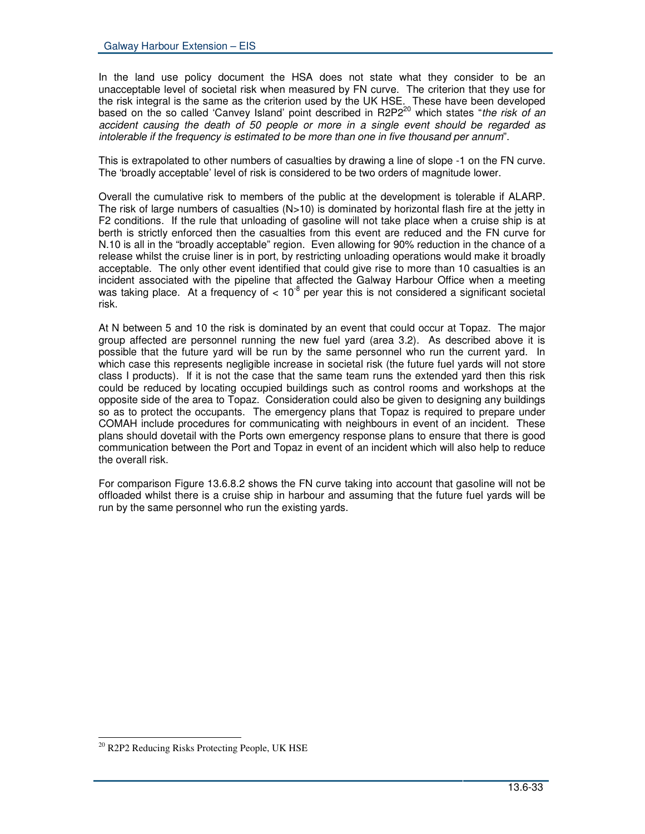In the land use policy document the HSA does not state what they consider to be an unacceptable level of societal risk when measured by FN curve. The criterion that they use for the risk integral is the same as the criterion used by the UK HSE. These have been developed based on the so called 'Canvey Island' point described in R2P2 <sup>20</sup> which states "*the risk of an accident causing the death of 50 people or more in a single event should be regarded as intolerable if the frequency is estimated to be more than one in five thousand per annum*".

This is extrapolated to other numbers of casualties by drawing a line of slope -1 on the FN curve. The 'broadly acceptable' level of risk is considered to be two orders of magnitude lower.

Overall the cumulative risk to members of the public at the development is tolerable if ALARP. The risk of large numbers of casualties  $(N>10)$  is dominated by horizontal flash fire at the jetty in F2 conditions. If the rule that unloading of gasoline will not take place when a cruise ship is at berth is strictly enforced then the casualties from this event are reduced and the FN curve for N.10 is all in the "broadly acceptable" region. Even allowing for 90% reduction in the chance of a release whilst the cruise liner is in port, by restricting unloading operations would make it broadly acceptable. The only other event identified that could give rise to more than 10 casualties is an incident associated with the pipeline that affected the Galway Harbour Office when a meeting was taking place. At a frequency of  $<$  10<sup>-8</sup> per year this is not considered a significant societal risk.

At N between 5 and 10 the risk is dominated by an event that could occur at Topaz. The major group affected are personnel running the new fuel yard (area 3.2). As described above it is possible that the future yard will be run by the same personnel who run the current yard. In which case this represents negligible increase in societal risk (the future fuel yards will not store class I products). If it is not the case that the same team runs the extended yard then this risk could be reduced by locating occupied buildings such as control rooms and workshops at the opposite side of the area to Topaz. Consideration could also be given to designing any buildings so as to protect the occupants. The emergency plans that Topaz is required to prepare under COMAH include procedures for communicating with neighbours in event of an incident. These plans should dovetail with the Ports own emergency response plans to ensure that there is good communication between the Port and Topaz in event of an incident which will also help to reduce the overall risk.

For comparison Figure 13.6.8.2 shows the FN curve taking into account that gasoline will not be offloaded whilst there is a cruise ship in harbour and assuming that the future fuel yards will be run by the same personnel who run the existing yards.

<sup>&</sup>lt;sup>20</sup> R2P2 Reducing Risks Protecting People, UK HSE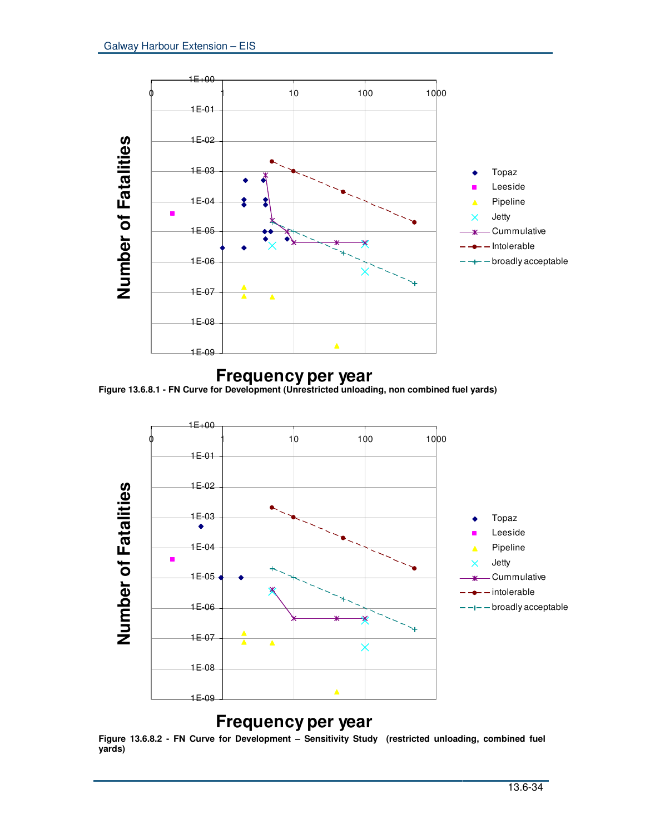

# **Figure 13.6.8.1 - FN Curve for Development (Unrestricted unloading, non combined fuel yards) Frequency per year**



# **Frequency per year**

**Figure 13.6.8.2 - FN Curve for Development – Sensitivity Study (restricted unloading, combined fuel yards)**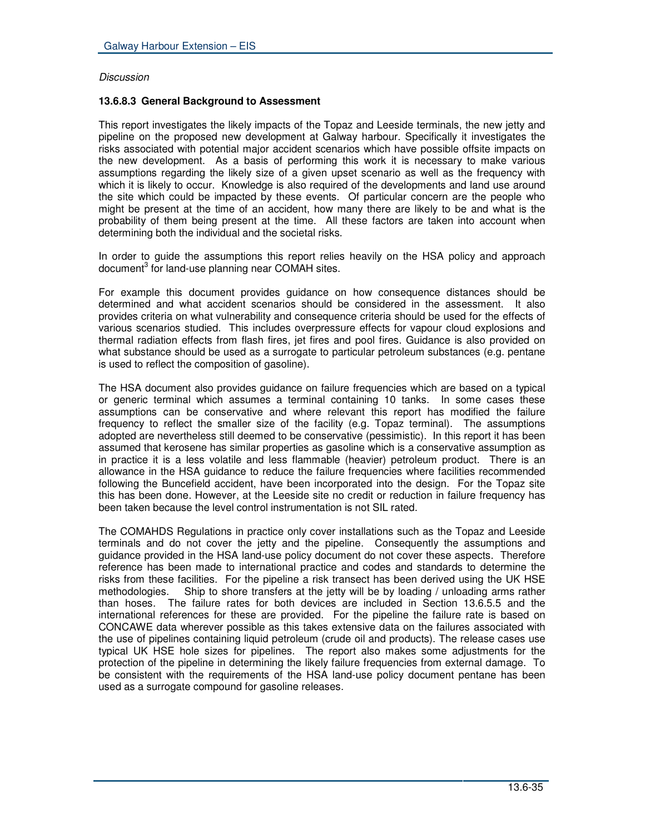## *Discussion*

# **13.6.8.3 General Background to Assessment**

This report investigates the likely impacts of the Topaz and Leeside terminals, the new jetty and pipeline on the proposed new development at Galway harbour. Specifically it investigates the risks associated with potential major accident scenarios which have possible offsite impacts on the new development. As a basis of performing this work it is necessary to make various assumptions regarding the likely size of a given upset scenario as well as the frequency with which it is likely to occur. Knowledge is also required of the developments and land use around the site which could be impacted by these events. Of particular concern are the people who might be present at the time of an accident, how many there are likely to be and what is the probability of them being present at the time. All these factors are taken into account when determining both the individual and the societal risks.

In order to guide the assumptions this report relies heavily on the HSA policy and approach document<sup>3</sup> for land-use planning near COMAH sites.

For example this document provides guidance on how consequence distances should be determined and what accident scenarios should be considered in the assessment. It also provides criteria on what vulnerability and consequence criteria should be used for the effects of various scenarios studied. This includes overpressure effects for vapour cloud explosions and thermal radiation effects from flash fires, jet fires and pool fires. Guidance is also provided on what substance should be used as a surrogate to particular petroleum substances (e.g. pentane is used to reflect the composition of gasoline).

The HSA document also provides guidance on failure frequencies which are based on a typical or generic terminal which assumes a terminal containing 10 tanks. In some cases these assumptions can be conservative and where relevant this report has modified the failure frequency to reflect the smaller size of the facility (e.g. Topaz terminal). The assumptions adopted are nevertheless still deemed to be conservative (pessimistic). In this report it has been assumed that kerosene has similar properties as gasoline which is a conservative assumption as in practice it is a less volatile and less flammable (heavier) petroleum product. There is an allowance in the HSA guidance to reduce the failure frequencies where facilities recommended following the Buncefield accident, have been incorporated into the design. For the Topaz site this has been done. However, at the Leeside site no credit or reduction in failure frequency has been taken because the level control instrumentation is not SIL rated.

The COMAHDS Regulations in practice only cover installations such as the Topaz and Leeside terminals and do not cover the jetty and the pipeline. Consequently the assumptions and guidance provided in the HSA land-use policy document do not cover these aspects. Therefore reference has been made to international practice and codes and standards to determine the risks from these facilities. For the pipeline a risk transect has been derived using the UK HSE methodologies. Ship to shore transfers at the jetty will be by loading / unloading arms rather Ship to shore transfers at the jetty will be by loading / unloading arms rather than hoses. The failure rates for both devices are included in Section 13.6.5.5 and the international references for these are provided. For the pipeline the failure rate is based on CONCAWE data wherever possible as this takes extensive data on the failures associated with the use of pipelines containing liquid petroleum (crude oil and products). The release cases use typical UK HSE hole sizes for pipelines. The report also makes some adjustments for the protection of the pipeline in determining the likely failure frequencies from external damage. To be consistent with the requirements of the HSA land-use policy document pentane has been used as a surrogate compound for gasoline releases.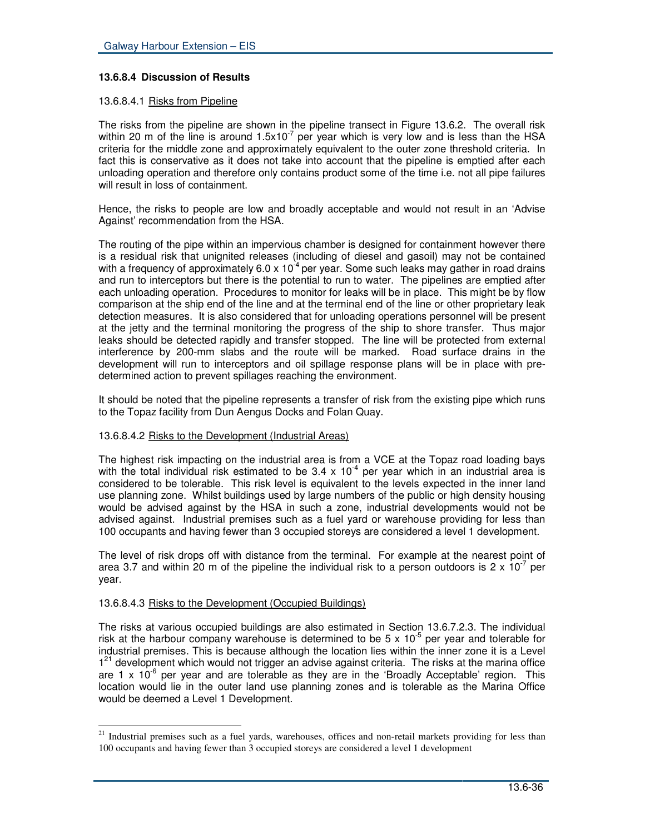# **13.6.8.4 Discussion of Results**

## 13.6.8.4.1 Risks from Pipeline

The risks from the pipeline are shown in the pipeline transect in Figure 13.6.2. The overall risk within 20 m of the line is around 1.5x10<sup>-7</sup> per year which is very low and is less than the HSA criteria for the middle zone and approximately equivalent to the outer zone threshold criteria. In fact this is conservative as it does not take into account that the pipeline is emptied after each unloading operation and therefore only contains product some of the time i.e. not all pipe failures will result in loss of containment.

Hence, the risks to people are low and broadly acceptable and would not result in an 'Advise Against' recommendation from the HSA.

The routing of the pipe within an impervious chamber is designed for containment however there is a residual risk that unignited releases (including of diesel and gasoil) may not be contained with a frequency of approximately 6.0 x 10<sup>-4</sup> per year. Some such leaks may gather in road drains and run to interceptors but there is the potential to run to water. The pipelines are emptied after each unloading operation. Procedures to monitor for leaks will be in place. This might be by flow comparison at the ship end of the line and at the terminal end of the line or other proprietary leak detection measures. It is also considered that for unloading operations personnel will be present at the jetty and the terminal monitoring the progress of the ship to shore transfer. Thus major leaks should be detected rapidly and transfer stopped. The line will be protected from external interference by 200-mm slabs and the route will be marked. Road surface drains in the development will run to interceptors and oil spillage response plans will be in place with predetermined action to prevent spillages reaching the environment.

It should be noted that the pipeline represents a transfer of risk from the existing pipe which runs to the Topaz facility from Dun Aengus Docks and Folan Quay.

## 13.6.8.4.2 Risks to the Development (Industrial Areas)

The highest risk impacting on the industrial area is from a VCE at the Topaz road loading bays with the total individual risk estimated to be 3.4 x 10<sup>-4</sup> per year which in an industrial area is considered to be tolerable. This risk level is equivalent to the levels expected in the inner land use planning zone. Whilst buildings used by large numbers of the public or high density housing would be advised against by the HSA in such a zone, industrial developments would not be advised against. Industrial premises such as a fuel yard or warehouse providing for less than 100 occupants and having fewer than 3 occupied storeys are considered a level 1 development.

The level of risk drops off with distance from the terminal. For example at the nearest point of area 3.7 and within 20 m of the pipeline the individual risk to a person outdoors is 2 x 10<sup>-7</sup> per year.

## 13.6.8.4.3 Risks to the Development (Occupied Buildings)

The risks at various occupied buildings are also estimated in Section 13.6.7.2.3. The individual risk at the harbour company warehouse is determined to be 5 x  $10^{-5}$  per year and tolerable for industrial premises. This is because although the location lies within the inner zone it is a Level 1<sup>21</sup> development which would not trigger an advise against criteria. The risks at the marina office are 1 x  $10^{-6}$  per year and are tolerable as they are in the 'Broadly Acceptable' region. This location would lie in the outer land use planning zones and is tolerable as the Marina Office would be deemed a Level 1 Development.

<sup>&</sup>lt;sup>21</sup> Industrial premises such as a fuel yards, warehouses, offices and non-retail markets providing for less than 100 occupants and having fewer than 3 occupied storeys are considered a level 1 development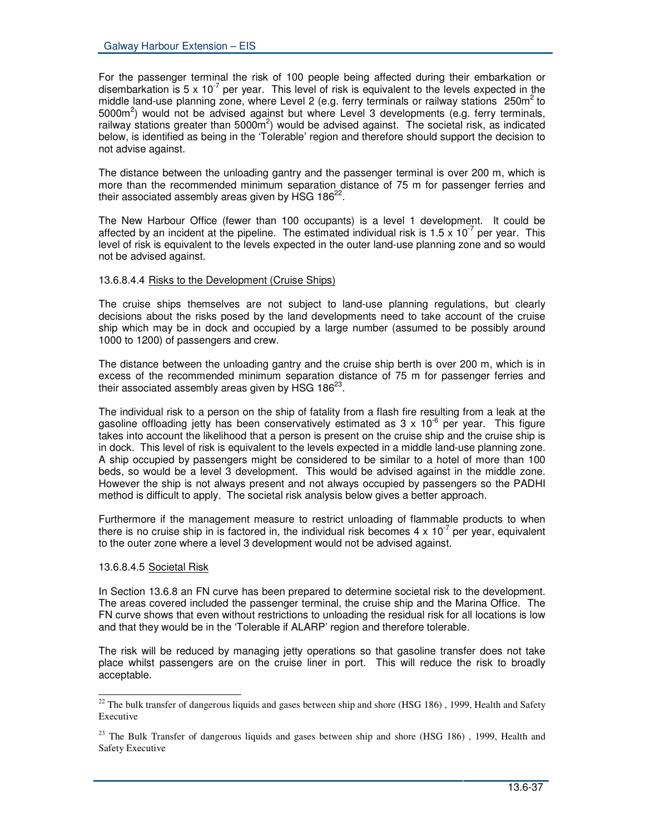For the passenger terminal the risk of 100 people being affected during their embarkation or disembarkation is 5 x 10<sup>-7</sup> per year. This level of risk is equivalent to the levels expected in the middle land-use planning zone, where Level 2 (e.g. ferry terminals or railway stations  $250m^2$  to 5000m<sup>2</sup>) would not be advised against but where Level 3 developments (e.g. ferry terminals, railway stations greater than 5000 $\text{m}^2$ ) would be advised against. The societal risk, as indicated below, is identified as being in the 'Tolerable' region and therefore should support the decision to not advise against.

The distance between the unloading gantry and the passenger terminal is over 200 m, which is more than the recommended minimum separation distance of 75 m for passenger ferries and their associated assembly areas given by HSG 186 $^{22}$ .

The New Harbour Office (fewer than 100 occupants) is a level 1 development. It could be affected by an incident at the pipeline. The estimated individual risk is 1.5 x 10<sup>-7</sup> per year. This level of risk is equivalent to the levels expected in the outer land-use planning zone and so would not be advised against.

## 13.6.8.4.4 Risks to the Development (Cruise Ships)

The cruise ships themselves are not subject to land-use planning regulations, but clearly decisions about the risks posed by the land developments need to take account of the cruise ship which may be in dock and occupied by a large number (assumed to be possibly around 1000 to 1200) of passengers and crew.

The distance between the unloading gantry and the cruise ship berth is over 200 m, which is in excess of the recommended minimum separation distance of 75 m for passenger ferries and their associated assembly areas given by HSG 186 $^{23}$ .

The individual risk to a person on the ship of fatality from a flash fire resulting from a leak at the gasoline offloading jetty has been conservatively estimated as 3 x 10<sup>-6</sup> per year. This figure takes into account the likelihood that a person is present on the cruise ship and the cruise ship is in dock. This level of risk is equivalent to the levels expected in a middle land-use planning zone. A ship occupied by passengers might be considered to be similar to a hotel of more than 100 beds, so would be a level 3 development. This would be advised against in the middle zone. However the ship is not always present and not always occupied by passengers so the PADHI method is difficult to apply. The societal risk analysis below gives a better approach.

Furthermore if the management measure to restrict unloading of flammable products to when there is no cruise ship in is factored in, the individual risk becomes 4 x 10<sup>-7</sup> per year, equivalent to the outer zone where a level 3 development would not be advised against.

## 13.6.8.4.5 Societal Risk

In Section 13.6.8 an FN curve has been prepared to determine societal risk to the development. The areas covered included the passenger terminal, the cruise ship and the Marina Office. The FN curve shows that even without restrictions to unloading the residual risk for all locations is low and that they would be in the 'Tolerable if ALARP' region and therefore tolerable.

The risk will be reduced by managing jetty operations so that gasoline transfer does not take place whilst passengers are on the cruise liner in port. This will reduce the risk to broadly acceptable.

<sup>&</sup>lt;sup>22</sup> The bulk transfer of dangerous liquids and gases between ship and shore (HSG 186), 1999, Health and Safety Executive

 $23$  The Bulk Transfer of dangerous liquids and gases between ship and shore (HSG 186), 1999, Health and Safety Executive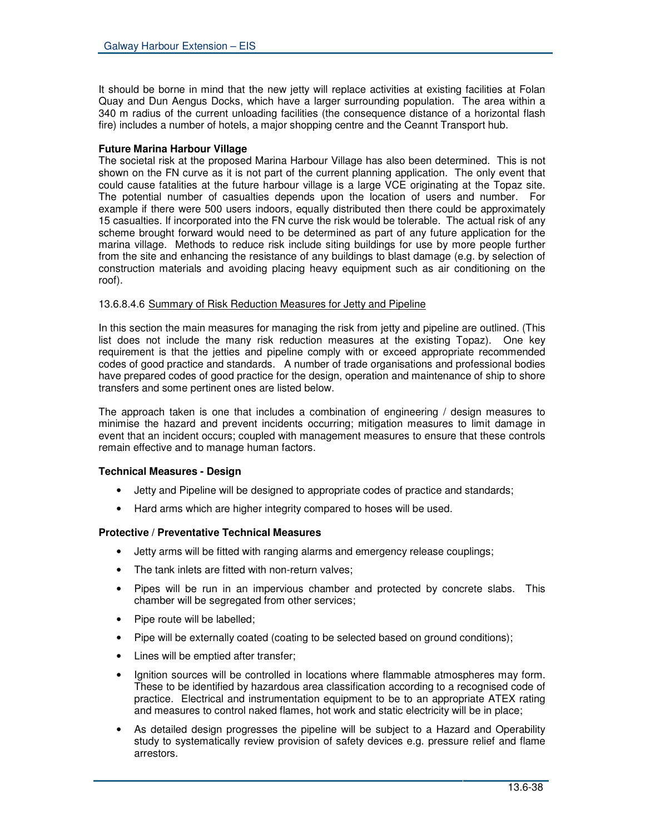It should be borne in mind that the new jetty will replace activities at existing facilities at Folan Quay and Dun Aengus Docks, which have a larger surrounding population. The area within a 340 m radius of the current unloading facilities (the consequence distance of a horizontal flash fire) includes a number of hotels, a major shopping centre and the Ceannt Transport hub.

#### **Future Marina Harbour Village**

The societal risk at the proposed Marina Harbour Village has also been determined. This is not shown on the FN curve as it is not part of the current planning application. The only event that could cause fatalities at the future harbour village is a large VCE originating at the Topaz site. The potential number of casualties depends upon the location of users and number. For example if there were 500 users indoors, equally distributed then there could be approximately 15 casualties. If incorporated into the FN curve the risk would be tolerable. The actual risk of any scheme brought forward would need to be determined as part of any future application for the marina village. Methods to reduce risk include siting buildings for use by more people further from the site and enhancing the resistance of any buildings to blast damage (e.g. by selection of construction materials and avoiding placing heavy equipment such as air conditioning on the roof).

#### 13.6.8.4.6 Summary of Risk Reduction Measures for Jetty and Pipeline

In this section the main measures for managing the risk from jetty and pipeline are outlined. (This list does not include the many risk reduction measures at the existing Topaz). One key requirement is that the jetties and pipeline comply with or exceed appropriate recommended codes of good practice and standards. A number of trade organisations and professional bodies have prepared codes of good practice for the design, operation and maintenance of ship to shore transfers and some pertinent ones are listed below.

The approach taken is one that includes a combination of engineering / design measures to minimise the hazard and prevent incidents occurring; mitigation measures to limit damage in event that an incident occurs; coupled with management measures to ensure that these controls remain effective and to manage human factors.

## **Technical Measures - Design**

- Jetty and Pipeline will be designed to appropriate codes of practice and standards;
- Hard arms which are higher integrity compared to hoses will be used.

## **Protective / Preventative Technical Measures**

- Jetty arms will be fitted with ranging alarms and emergency release couplings;
- The tank inlets are fitted with non-return valves:
- Pipes will be run in an impervious chamber and protected by concrete slabs. This chamber will be segregated from other services;
- Pipe route will be labelled;
- Pipe will be externally coated (coating to be selected based on ground conditions);
- Lines will be emptied after transfer;
- Ignition sources will be controlled in locations where flammable atmospheres may form. These to be identified by hazardous area classification according to a recognised code of practice. Electrical and instrumentation equipment to be to an appropriate ATEX rating and measures to control naked flames, hot work and static electricity will be in place;
- As detailed design progresses the pipeline will be subject to a Hazard and Operability study to systematically review provision of safety devices e.g. pressure relief and flame arrestors.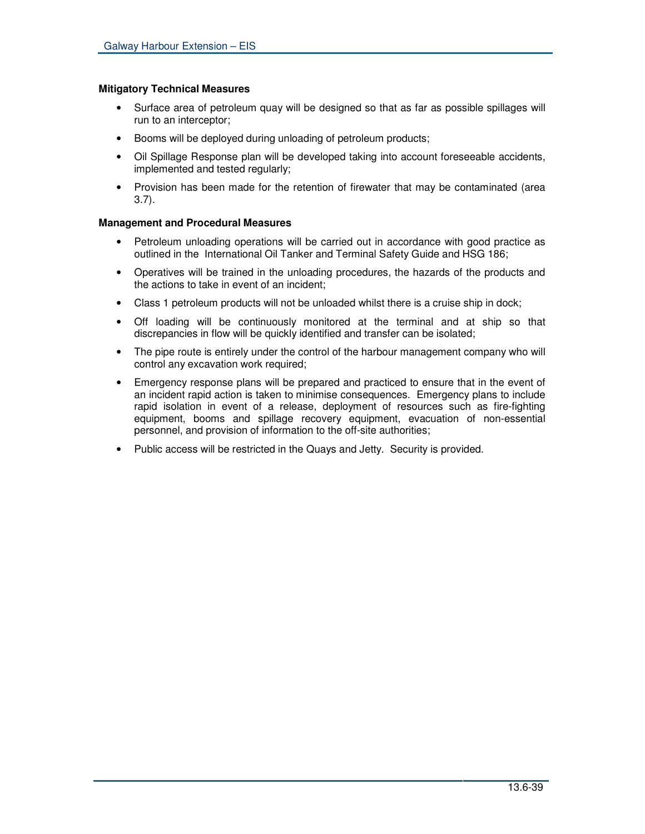#### **Mitigatory Technical Measures**

- Surface area of petroleum quay will be designed so that as far as possible spillages will run to an interceptor;
- Booms will be deployed during unloading of petroleum products;
- Oil Spillage Response plan will be developed taking into account foreseeable accidents, implemented and tested regularly;
- Provision has been made for the retention of firewater that may be contaminated (area 3.7).

#### **Management and Procedural Measures**

- Petroleum unloading operations will be carried out in accordance with good practice as outlined in the International Oil Tanker and Terminal Safety Guide and HSG 186;
- Operatives will be trained in the unloading procedures, the hazards of the products and the actions to take in event of an incident;
- Class 1 petroleum products will not be unloaded whilst there is a cruise ship in dock;
- Off loading will be continuously monitored at the terminal and at ship so that discrepancies in flow will be quickly identified and transfer can be isolated;
- The pipe route is entirely under the control of the harbour management company who will control any excavation work required;
- Emergency response plans will be prepared and practiced to ensure that in the event of an incident rapid action is taken to minimise consequences. Emergency plans to include rapid isolation in event of a release, deployment of resources such as fire-fighting equipment, booms and spillage recovery equipment, evacuation of non-essential personnel, and provision of information to the off-site authorities;
- Public access will be restricted in the Quays and Jetty. Security is provided.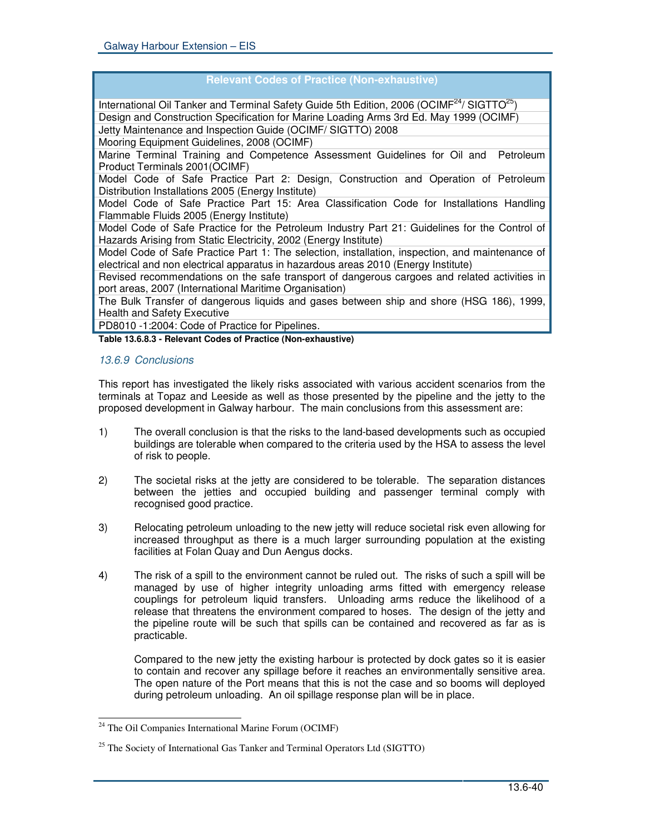| <b>Relevant Codes of Practice (Non-exhaustive)</b>                                                                 |
|--------------------------------------------------------------------------------------------------------------------|
| International Oil Tanker and Terminal Safety Guide 5th Edition, 2006 (OCIMF <sup>24</sup> / SIGTTO <sup>25</sup> ) |
| Design and Construction Specification for Marine Loading Arms 3rd Ed. May 1999 (OCIMF)                             |
| Jetty Maintenance and Inspection Guide (OCIMF/ SIGTTO) 2008                                                        |
| Mooring Equipment Guidelines, 2008 (OCIMF)                                                                         |
| Marine Terminal Training and Competence Assessment Guidelines for Oil and<br>Petroleum                             |
| Product Terminals 2001(OCIMF)                                                                                      |
| Model Code of Safe Practice Part 2: Design, Construction and Operation of Petroleum                                |
| Distribution Installations 2005 (Energy Institute)                                                                 |
| Model Code of Safe Practice Part 15: Area Classification Code for Installations Handling                           |
| Flammable Fluids 2005 (Energy Institute)                                                                           |
| Model Code of Safe Practice for the Petroleum Industry Part 21: Guidelines for the Control of                      |
| Hazards Arising from Static Electricity, 2002 (Energy Institute)                                                   |
| Model Code of Safe Practice Part 1: The selection, installation, inspection, and maintenance of                    |
| electrical and non electrical apparatus in hazardous areas 2010 (Energy Institute)                                 |
| Revised recommendations on the safe transport of dangerous cargoes and related activities in                       |
| port areas, 2007 (International Maritime Organisation)                                                             |
| The Bulk Transfer of dangerous liquids and gases between ship and shore (HSG 186), 1999,                           |
| <b>Health and Safety Executive</b>                                                                                 |
| PD8010 -1:2004: Code of Practice for Pipelines.                                                                    |

**Table 13.6.8.3 - Relevant Codes of Practice (Non-exhaustive)**

# *13.6.9 Conclusions*

This report has investigated the likely risks associated with various accident scenarios from the terminals at Topaz and Leeside as well as those presented by the pipeline and the jetty to the proposed development in Galway harbour. The main conclusions from this assessment are:

- 1) The overall conclusion is that the risks to the land-based developments such as occupied buildings are tolerable when compared to the criteria used by the HSA to assess the level of risk to people.
- 2) The societal risks at the jetty are considered to be tolerable. The separation distances between the jetties and occupied building and passenger terminal comply with recognised good practice.
- 3) Relocating petroleum unloading to the new jetty will reduce societal risk even allowing for increased throughput as there is a much larger surrounding population at the existing facilities at Folan Quay and Dun Aengus docks.
- 4) The risk of a spill to the environment cannot be ruled out. The risks of such a spill will be managed by use of higher integrity unloading arms fitted with emergency release couplings for petroleum liquid transfers. Unloading arms reduce the likelihood of a release that threatens the environment compared to hoses. The design of the jetty and the pipeline route will be such that spills can be contained and recovered as far as is practicable.

Compared to the new jetty the existing harbour is protected by dock gates so it is easier to contain and recover any spillage before it reaches an environmentally sensitive area. The open nature of the Port means that this is not the case and so booms will deployed during petroleum unloading. An oil spillage response plan will be in place.

<sup>24</sup> The Oil Companies International Marine Forum (OCIMF)

<sup>&</sup>lt;sup>25</sup> The Society of International Gas Tanker and Terminal Operators Ltd (SIGTTO)